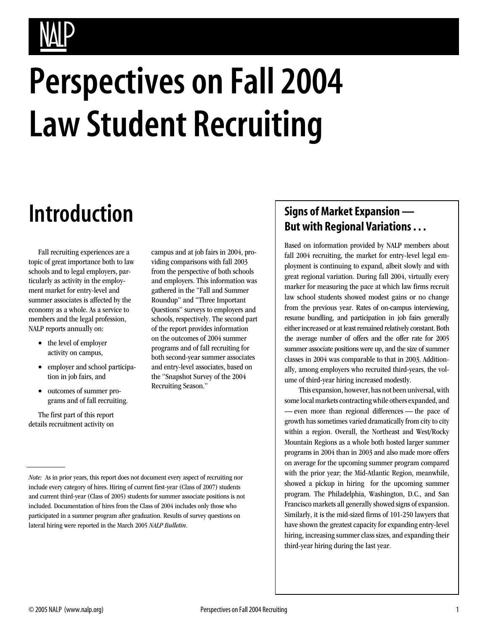# **Perspectives on Fall 2004 Law Student Recruiting**

# **Introduction**

Fall recruiting experiences are a topic of great importance both to law schools and to legal employers, particularly as activity in the employment market for entry-level and summer associates is affected by the economy as a whole. As a service to members and the legal profession, NALP reports annually on:

- the level of employer activity on campus,
- employer and school participation in job fairs, and
- outcomes of summer programs and of fall recruiting.

The first part of this report details recruitment activity on

#### campus and at job fairs in 2004, providing comparisons with fall 2003 from the perspective of both schools and employers. This information was gathered in the "Fall and Summer Roundup" and "Three Important Questions" surveys to employers and schools, respectively. The second part of the report provides information on the outcomes of 2004 summer programs and of fall recruiting for both second-year summer associates and entry-level associates, based on the "Snapshot Survey of the 2004 Recruiting Season."

### **Signs of Market Expansion — But with Regional Variations . . .**

Based on information provided by NALP members about fall 2004 recruiting, the market for entry-level legal employment is continuing to expand, albeit slowly and with great regional variation. During fall 2004, virtually every marker for measuring the pace at which law firms recruit law school students showed modest gains or no change from the previous year. Rates of on-campus interviewing, resume bundling, and participation in job fairs generally either increased or at least remained relatively constant. Both the average number of offers and the offer rate for 2005 summer associate positions were up, and the size of summer classes in 2004 was comparable to that in 2003. Additionally, among employers who recruited third-years, the volume of third-year hiring increased modestly.

This expansion, however, has not been universal, with some local markets contracting while others expanded, and — even more than regional differences — the pace of growth has sometimes varied dramatically from city to city within a region. Overall, the Northeast and West/Rocky Mountain Regions as a whole both hosted larger summer programs in 2004 than in 2003 and also made more offers on average for the upcoming summer program compared with the prior year; the Mid-Atlantic Region, meanwhile, showed a pickup in hiring for the upcoming summer program. The Philadelphia, Washington, D.C., and San Francisco markets all generally showed signs of expansion. Similarly, it is the mid-sized firms of 101-250 lawyers that have shown the greatest capacity for expanding entry-level hiring, increasing summer class sizes, and expanding their third-year hiring during the last year.

*Note:* As in prior years, this report does not document every aspect of recruiting nor include every category of hires. Hiring of current first-year (Class of 2007) students and current third-year (Class of 2005) students for summer associate positions is not included. Documentation of hires from the Class of 2004 includes only those who participated in a summer program after graduation. Results of survey questions on lateral hiring were reported in the March 2005 *NALP Bulletin*.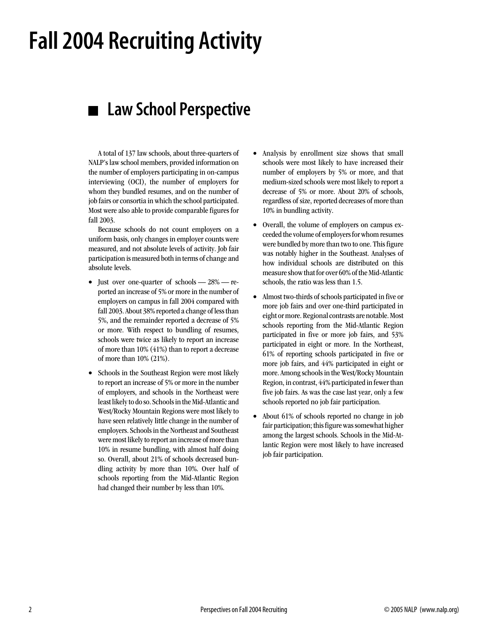# **Fall 2004 Recruiting Activity**

## **Law School Perspective**

A total of 137 law schools, about three-quarters of NALP's law school members, provided information on the number of employers participating in on-campus interviewing (OCI), the number of employers for whom they bundled resumes, and on the number of job fairs or consortia in which the school participated. Most were also able to provide comparable figures for fall 2003.

Because schools do not count employers on a uniform basis, only changes in employer counts were measured, and not absolute levels of activity. Job fair participation is measured both in terms of change and absolute levels.

- Just over one-quarter of schools 28% reported an increase of 5% or more in the number of employers on campus in fall 2004 compared with fall 2003. About 38% reported a change of less than 5%, and the remainder reported a decrease of 5% or more. With respect to bundling of resumes, schools were twice as likely to report an increase of more than 10% (41%) than to report a decrease of more than 10% (21%).
- Schools in the Southeast Region were most likely to report an increase of 5% or more in the number of employers, and schools in the Northeast were least likely to do so. Schools in the Mid-Atlantic and West/Rocky Mountain Regions were most likely to have seen relatively little change in the number of employers. Schools in the Northeast and Southeast were most likely to report an increase of more than 10% in resume bundling, with almost half doing so. Overall, about 21% of schools decreased bundling activity by more than 10%. Over half of schools reporting from the Mid-Atlantic Region had changed their number by less than 10%.
- Analysis by enrollment size shows that small schools were most likely to have increased their number of employers by 5% or more, and that medium-sized schools were most likely to report a decrease of 5% or more. About 20% of schools, regardless of size, reported decreases of more than 10% in bundling activity.
- Overall, the volume of employers on campus exceeded the volume of employers for whom resumes were bundled by more than two to one. This figure was notably higher in the Southeast. Analyses of how individual schools are distributed on this measure show that for over 60% of the Mid-Atlantic schools, the ratio was less than 1.5.
- Almost two-thirds of schools participated in five or more job fairs and over one-third participated in eight or more. Regional contrasts are notable. Most schools reporting from the Mid-Atlantic Region participated in five or more job fairs, and 53% participated in eight or more. In the Northeast, 61% of reporting schools participated in five or more job fairs, and 44% participated in eight or more. Among schools in the West/Rocky Mountain Region, in contrast, 44% participated in fewer than five job fairs. As was the case last year, only a few schools reported no job fair participation.
- About 61% of schools reported no change in job fair participation; this figure was somewhat higher among the largest schools. Schools in the Mid-Atlantic Region were most likely to have increased job fair participation.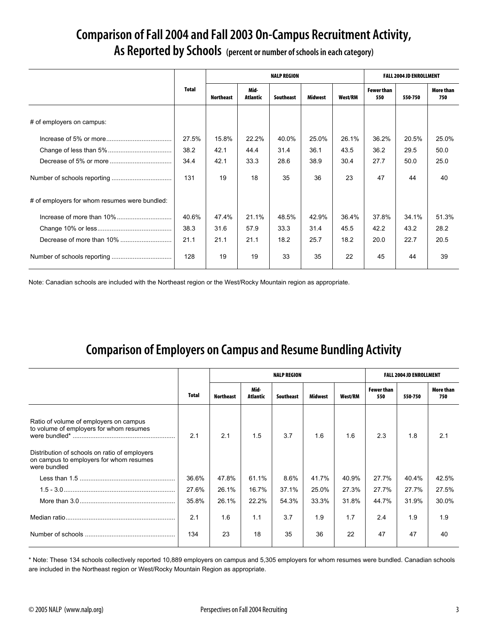### **Comparison of Fall 2004 and Fall 2003 On-Campus Recruitment Activity, As Reported by Schools (percent or number of schools in each category)**

|                                               |              |                  |                  | <b>NALP REGION</b> |         |         |                          | <b>FALL 2004 JD ENROLLMENT</b> |                  |
|-----------------------------------------------|--------------|------------------|------------------|--------------------|---------|---------|--------------------------|--------------------------------|------------------|
|                                               | <b>Total</b> | <b>Northeast</b> | Mid-<br>Atlantic | <b>Southeast</b>   | Midwest | West/RM | <b>Fewer than</b><br>550 | 550-750                        | More than<br>750 |
| # of employers on campus:                     |              |                  |                  |                    |         |         |                          |                                |                  |
|                                               | 27.5%        | 15.8%            | 22.2%            | 40.0%              | 25.0%   | 26.1%   | 36.2%                    | 20.5%                          | 25.0%            |
|                                               | 38.2         | 42.1             | 44.4             | 31.4               | 36.1    | 43.5    | 36.2                     | 29.5                           | 50.0             |
|                                               | 34.4         | 42.1             | 33.3             | 28.6               | 38.9    | 30.4    | 27.7                     | 50.0                           | 25.0             |
|                                               | 131          | 19               | 18               | 35                 | 36      | 23      | 47                       | 44                             | 40               |
| # of employers for whom resumes were bundled: |              |                  |                  |                    |         |         |                          |                                |                  |
|                                               | 40.6%        | 47.4%            | 21.1%            | 48.5%              | 42.9%   | 36.4%   | 37.8%                    | 34.1%                          | 51.3%            |
|                                               | 38.3         | 31.6             | 57.9             | 33.3               | 31.4    | 45.5    | 42.2                     | 43.2                           | 28.2             |
|                                               | 21.1         | 21.1             | 21.1             | 18.2               | 25.7    | 18.2    | 20.0                     | 22.7                           | 20.5             |
|                                               | 128          | 19               | 19               | 33                 | 35      | 22      | 45                       | 44                             | 39               |

Note: Canadian schools are included with the Northeast region or the West/Rocky Mountain region as appropriate.

### **Comparison of Employers on Campus and Resume Bundling Activity**

|                                                                                                                                                                                               |              |                  |                  | <b>NALP REGION</b> |         |         |                   | <b>FALL 2004 JD ENROLLMENT</b> |                  |
|-----------------------------------------------------------------------------------------------------------------------------------------------------------------------------------------------|--------------|------------------|------------------|--------------------|---------|---------|-------------------|--------------------------------|------------------|
|                                                                                                                                                                                               | <b>Total</b> | <b>Northeast</b> | Mid-<br>Atlantic | Southeast          | Midwest | West/RM | Fewer than<br>550 | 550-750                        | More than<br>750 |
| Ratio of volume of employers on campus<br>to volume of employers for whom resumes<br>Distribution of schools on ratio of employers<br>on campus to employers for whom resumes<br>were bundled | 2.1          | 2.1              | 1.5              | 3.7                | 1.6     | 1.6     | 2.3               | 1.8                            | 2.1              |
|                                                                                                                                                                                               | 36.6%        | 47.8%            | 61.1%            | 8.6%               | 41.7%   | 40.9%   | 27.7%             | 40.4%                          | 42.5%            |
|                                                                                                                                                                                               | 27.6%        | 26.1%            | 16.7%            | 37.1%              | 25.0%   | 27.3%   | 27.7%             | 27.7%                          | 27.5%            |
|                                                                                                                                                                                               | 35.8%        | 26.1%            | 22.2%            | 54.3%              | 33.3%   | 31.8%   | 44.7%             | 31.9%                          | 30.0%            |
|                                                                                                                                                                                               | 2.1          | 1.6              | 1.1              | 3.7                | 1.9     | 1.7     | 2.4               | 1.9                            | 1.9              |
|                                                                                                                                                                                               | 134          | 23               | 18               | 35                 | 36      | 22      | 47                | 47                             | 40               |

\* Note: These 134 schools collectively reported 10,889 employers on campus and 5,305 employers for whom resumes were bundled. Canadian schools are included in the Northeast region or West/Rocky Mountain Region as appropriate.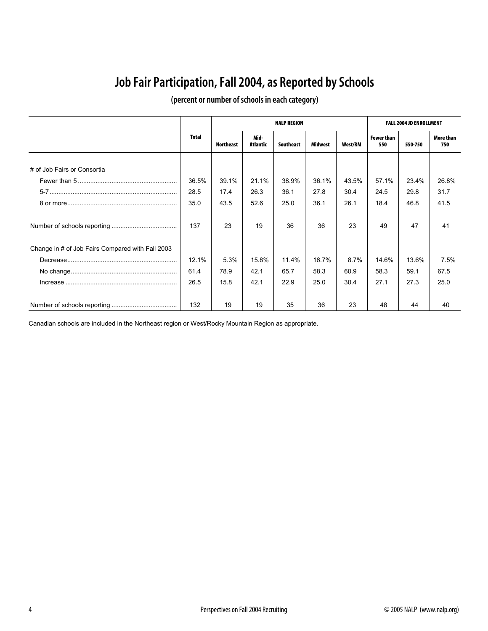### **Job Fair Participation, Fall 2004, as Reported by Schools**

|                                                  |       |           |                  | <b>NALP REGION</b> |         |         |                          | <b>FALL 2004 JD ENROLLMENT</b> |                  |
|--------------------------------------------------|-------|-----------|------------------|--------------------|---------|---------|--------------------------|--------------------------------|------------------|
|                                                  | Total | Northeast | Mid-<br>Atlantic | Southeast          | Midwest | West/RM | <b>Fewer than</b><br>550 | 550-750                        | More than<br>750 |
|                                                  |       |           |                  |                    |         |         |                          |                                |                  |
| # of Job Fairs or Consortia                      |       |           |                  |                    |         |         |                          |                                |                  |
|                                                  | 36.5% | 39.1%     | 21.1%            | 38.9%              | 36.1%   | 43.5%   | 57.1%                    | 23.4%                          | 26.8%            |
|                                                  | 28.5  | 17.4      | 26.3             | 36.1               | 27.8    | 30.4    | 24.5                     | 29.8                           | 31.7             |
|                                                  | 35.0  | 43.5      | 52.6             | 25.0               | 36.1    | 26.1    | 18.4                     | 46.8                           | 41.5             |
|                                                  | 137   | 23        | 19               | 36                 | 36      | 23      | 49                       | 47                             | 41               |
| Change in # of Job Fairs Compared with Fall 2003 |       |           |                  |                    |         |         |                          |                                |                  |
|                                                  | 12.1% | 5.3%      | 15.8%            | 11.4%              | 16.7%   | 8.7%    | 14.6%                    | 13.6%                          | 7.5%             |
|                                                  | 61.4  | 78.9      | 42.1             | 65.7               | 58.3    | 60.9    | 58.3                     | 59.1                           | 67.5             |
|                                                  | 26.5  | 15.8      | 42.1             | 22.9               | 25.0    | 30.4    | 27.1                     | 27.3                           | 25.0             |
|                                                  | 132   | 19        | 19               | 35                 | 36      | 23      | 48                       | 44                             | 40               |

### **(percent or number of schools in each category)**

Canadian schools are included in the Northeast region or West/Rocky Mountain Region as appropriate.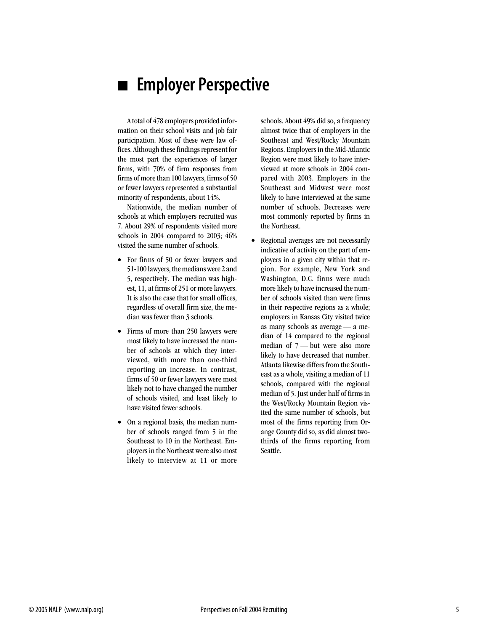### **Employer Perspective**

A total of 478 employers provided information on their school visits and job fair participation. Most of these were law offices. Although these findings represent for the most part the experiences of larger firms, with 70% of firm responses from firms of more than 100 lawyers, firms of 50 or fewer lawyers represented a substantial minority of respondents, about 14%.

Nationwide, the median number of schools at which employers recruited was 7. About 29% of respondents visited more schools in 2004 compared to 2003; 46% visited the same number of schools.

- For firms of 50 or fewer lawyers and 51-100 lawyers, the medians were 2 and 5, respectively. The median was highest, 11, at firms of 251 or more lawyers. It is also the case that for small offices, regardless of overall firm size, the median was fewer than 3 schools.
- Firms of more than 250 lawyers were most likely to have increased the number of schools at which they interviewed, with more than one-third reporting an increase. In contrast, firms of 50 or fewer lawyers were most likely not to have changed the number of schools visited, and least likely to have visited fewer schools.
- On a regional basis, the median number of schools ranged from 5 in the Southeast to 10 in the Northeast. Employers in the Northeast were also most likely to interview at 11 or more

schools. About 49% did so, a frequency almost twice that of employers in the Southeast and West/Rocky Mountain Regions. Employers in the Mid-Atlantic Region were most likely to have interviewed at more schools in 2004 compared with 2003. Employers in the Southeast and Midwest were most likely to have interviewed at the same number of schools. Decreases were most commonly reported by firms in the Northeast.

• Regional averages are not necessarily indicative of activity on the part of employers in a given city within that region. For example, New York and Washington, D.C. firms were much more likely to have increased the number of schools visited than were firms in their respective regions as a whole; employers in Kansas City visited twice as many schools as average — a median of 14 compared to the regional median of 7 — but were also more likely to have decreased that number. Atlanta likewise differs from the Southeast as a whole, visiting a median of 11 schools, compared with the regional median of 5. Just under half of firms in the West/Rocky Mountain Region visited the same number of schools, but most of the firms reporting from Orange County did so, as did almost twothirds of the firms reporting from Seattle.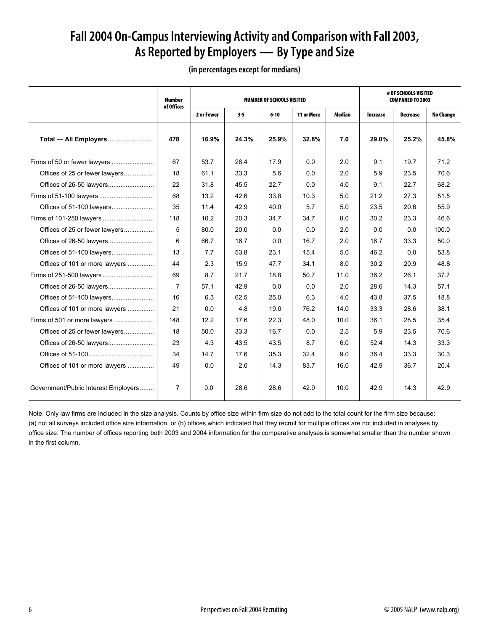### **Fall 2004 On-Campus Interviewing Activity and Comparison with Fall 2003, As Reported by Employers — By Type and Size**

|                                      | <b>Number</b><br>of Offices |            |         | <b>NUMBER OF SCHOOLS VISITED</b> |            |        |          | # OF SCHOOLS VISITED<br><b>COMPARED TO 2003</b> |                  |
|--------------------------------------|-----------------------------|------------|---------|----------------------------------|------------|--------|----------|-------------------------------------------------|------------------|
|                                      |                             | 2 or Fewer | $3 - 5$ | $6 - 10$                         | 11 or More | Median | Increase | Decrease                                        | <b>No Change</b> |
| Total - All Employers                | 478                         | 16.9%      | 24.3%   | 25.9%                            | 32.8%      | 7.0    | 29.0%    | 25.2%                                           | 45.8%            |
|                                      | 67                          | 53.7       | 28.4    | 17.9                             | 0.0        | 2.0    | 9.1      | 19.7                                            | 71.2             |
| Offices of 25 or fewer lawyers       | 18                          | 61.1       | 33.3    | 5.6                              | 0.0        | 2.0    | 5.9      | 23.5                                            | 70.6             |
|                                      | 22                          | 31.8       | 45.5    | 22.7                             | 0.0        | 4.0    | 9.1      | 22.7                                            | 68.2             |
|                                      | 68                          | 13.2       | 42.6    | 33.8                             | 10.3       | 5.0    | 21.2     | 27.3                                            | 51.5             |
|                                      | 35                          | 11.4       | 42.9    | 40.0                             | 5.7        | 5.0    | 23.5     | 20.6                                            | 55.9             |
| Firms of 101-250 lawyers             | 118                         | 10.2       | 20.3    | 34.7                             | 34.7       | 8.0    | 30.2     | 23.3                                            | 46.6             |
| Offices of 25 or fewer lawyers       | 5                           | 80.0       | 20.0    | 0.0                              | 0.0        | 2.0    | 0.0      | 0.0                                             | 100.0            |
|                                      | 6                           | 66.7       | 16.7    | 0.0                              | 16.7       | 2.0    | 16.7     | 33.3                                            | 50.0             |
|                                      | 13                          | 7.7        | 53.8    | 23.1                             | 15.4       | 5.0    | 46.2     | 0.0                                             | 53.8             |
| Offices of 101 or more lawyers       | 44                          | 2.3        | 15.9    | 47.7                             | 34.1       | 8.0    | 30.2     | 20.9                                            | 48.8             |
|                                      | 69                          | 8.7        | 21.7    | 18.8                             | 50.7       | 11.0   | 36.2     | 26.1                                            | 37.7             |
|                                      | $\overline{7}$              | 57.1       | 42.9    | 0.0                              | 0.0        | 2.0    | 28.6     | 14.3                                            | 57.1             |
| Offices of 51-100 lawyers            | 16                          | 6.3        | 62.5    | 25.0                             | 6.3        | 4.0    | 43.8     | 37.5                                            | 18.8             |
| Offices of 101 or more lawyers       | 21                          | 0.0        | 4.8     | 19.0                             | 76.2       | 14.0   | 33.3     | 28.6                                            | 38.1             |
|                                      | 148                         | 12.2       | 17.6    | 22.3                             | 48.0       | 10.0   | 36.1     | 28.5                                            | 35.4             |
| Offices of 25 or fewer lawyers       | 18                          | 50.0       | 33.3    | 16.7                             | 0.0        | 2.5    | 5.9      | 23.5                                            | 70.6             |
|                                      | 23                          | 4.3        | 43.5    | 43.5                             | 8.7        | 6.0    | 52.4     | 14.3                                            | 33.3             |
|                                      | 34                          | 14.7       | 17.6    | 35.3                             | 32.4       | 9.0    | 36.4     | 33.3                                            | 30.3             |
| Offices of 101 or more lawyers       | 49                          | 0.0        | 2.0     | 14.3                             | 83.7       | 16.0   | 42.9     | 36.7                                            | 20.4             |
| Government/Public Interest Employers | 7                           | 0.0        | 28.6    | 28.6                             | 42.9       | 10.0   | 42.9     | 14.3                                            | 42.9             |

**(in percentages except for medians)**

Note: Only law firms are included in the size analysis. Counts by office size within firm size do not add to the total count for the firm size because: (a) not all surveys included office size information, or (b) offices which indicated that they recruit for multiple offices are not included in analyses by office size. The number of offices reporting both 2003 and 2004 information for the comparative analyses is somewhat smaller than the number shown in the first column.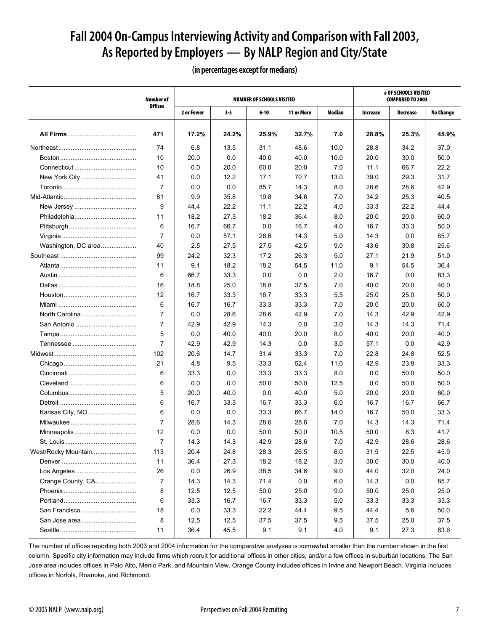### **Fall 2004 On-Campus Interviewing Activity and Comparison with Fall 2003, As Reported by Employers — By NALP Region and City/State**

**Number of Offices NUMBER OF SCHOOLS VISITED # OF SCHOOLS VISITED COMPARED TO 2003 2 or Fewer 3-5 6-10 11 or More Median Increase Decrease No Change All Firms**....................................... **471 17.2% 24.2% 25.9% 32.7% 7.0 28.8% 25.3% 45.9%**Northeast............................................ 74 6.8 13.5 31.1 48.6 10.0 28.8 34.2 37.0 Boston........................................... 10 20.0 0.0 40.0 40.0 10.0 20.0 30.0 50.0 Connecticut ................................... 10 0.0 20.0 60.0 20.0 7.0 11.1 66.7 22.2 New York City ............................... 41 0.0 12.2 17.1 70.7 13.0 39.0 29.3 31.7 Toronto.......................................... 7 0.0 0.0 85.7 14.3 8.0 28.6 28.6 42.9 Mid-Atlantic......................................... 81 9.9 35.8 19.8 34.6 7.0 34.2 25.3 40.5 New Jersey ................................... 9 44.4 22.2 11.1 22.2 4.0 33.3 22.2 44.4 Philadelphia................................... 11 18.2 27.3 18.2 36.4 8.0 20.0 20.0 60.0 Pittsburgh...................................... 6 16.7 66.7 0.0 16.7 4.0 16.7 33.3 50.0 Virginia .......................................... 7 0.0 57.1 28.6 14.3 5.0 14.3 0.0 85.7 Washington, DC area....................... | 40 | 2.5 | 27.5 | 27.5 | 42.5 | 9.0 | 43.6 | 30.8 | 25.6 Southeast ........................................... 99 24.2 32.3 17.2 26.3 5.0 27.1 21.9 51.0 Atlanta........................................... 11 9.1 18.2 18.2 54.5 11.0 9.1 54.5 36.4 Austin ............................................ 6 66.7 33.3 0.0 0.0 2.0 16.7 0.0 83.3 Dallas ............................................ 16 18.8 25.0 18.8 37.5 7.0 40.0 20.0 40.0 Houston......................................... 12 16.7 33.3 16.7 33.3 5.5 25.0 25.0 50.0 Miami ............................................ 6 16.7 16.7 33.3 33.3 7.0 20.0 20.0 60.0 North Carolina............................... 7 0.0 28.6 28.6 42.9 7.0 14.3 42.9 42.9 San Antonio .................................. 7 42.9 42.9 14.3 0.0 3.0 14.3 14.3 71.4 Tampa........................................... 5 0.0 40.0 40.0 20.0 8.0 40.0 20.0 40.0 Tennessee .................................... 7 42.9 42.9 14.3 0.0 3.0 57.1 0.0 42.9 Midwest .............................................. 102 20.6 14.7 31.4 33.3 7.0 22.8 24.8 52.5 Chicago......................................... 21 4.8 9.5 33.3 52.4 11.0 42.9 23.8 33.3 Cincinnati ...................................... 6 33.3 0.0 33.3 33.3 8.0 0.0 50.0 50.0 Cleveland ...................................... 6 0.0 0.0 50.0 50.0 12.5 0.0 50.0 50.0 Columbus...................................... 5 20.0 40.0 0.0 40.0 5.0 20.0 20.0 60.0 Detroit ........................................... 6 16.7 33.3 16.7 33.3 6.0 16.7 16.7 66.7 Kansas City, MO ........................... 6 0.0 0.0 33.3 66.7 14.0 16.7 50.0 33.3 Milwaukee ..................................... 7 28.6 14.3 28.6 28.6 7.0 14.3 14.3 71.4 Minneapolis................................... 12 0.0 0.0 50.0 50.0 10.5 50.0 8.3 41.7 St. Louis ........................................ 7 14.3 14.3 42.9 28.6 7.0 42.9 28.6 28.6 West/Rocky Mountain......................... 113 20.4 24.8 28.3 26.5 6.0 31.5 22.5 45.9 Denver .......................................... 11 36.4 27.3 18.2 18.2 3.0 30.0 30.0 40.0 Los Angeles .................................. 26 0.0 26.9 38.5 34.6 9.0 44.0 32.0 24.0 Orange County, CA....................... 7 14.3 14.3 71.4 0.0 6.0 14.3 0.0 85.7 Phoenix ......................................... 8 12.5 12.5 50.0 25.0 9.0 50.0 25.0 25.0 Portland......................................... 6 33.3 16.7 16.7 33.3 5.0 33.3 33.3 33.3 San Francisco ............................... 18 0.0 33.3 22.2 44.4 9.5 44.4 5.6 50.0 San Jose area............................... 8 12.5 12.5 37.5 37.5 9.5 37.5 25.0 37.5 Seattle........................................... 11 36.4 45.5 9.1 9.1 4.0 9.1 27.3 63.6

### **(in percentages except for medians)**

The number of offices reporting both 2003 and 2004 information for the comparative analyses is somewhat smaller than the number shown in the first column. Specific city information may include firms which recruit for additional offices in other cities, and/or a few offices in suburban locations. The San Jose area includes offices in Palo Alto, Menlo Park, and Mountain View. Orange County includes offices in Irvine and Newport Beach. Virginia includes offices in Norfolk, Roanoke, and Richmond.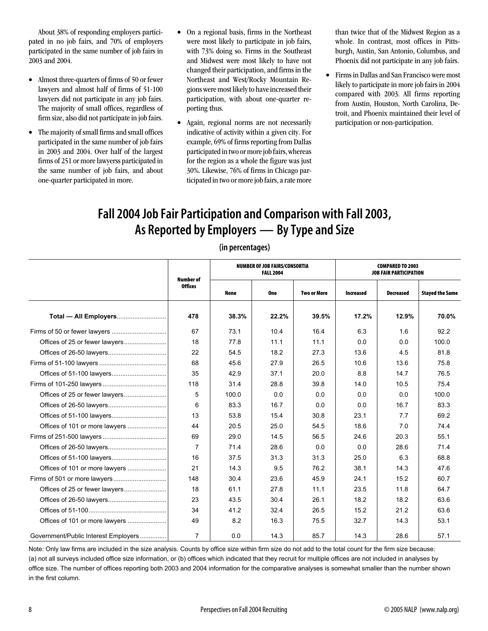About 38% of responding employers participated in no job fairs, and 70% of employers participated in the same number of job fairs in 2003 and 2004.

- Almost three-quarters of firms of 50 or fewer lawyers and almost half of firms of 51-100 lawyers did not participate in any job fairs. The majority of small offices, regardless of firm size, also did not participate in job fairs.
- The majority of small firms and small offices participated in the same number of job fairs in 2003 and 2004. Over half of the largest firms of 251 or more lawyerss participated in the same number of job fairs, and about one-quarter participated in more.
- On a regional basis, firms in the Northeast were most likely to participate in job fairs, with 73% doing so. Firms in the Southeast and Midwest were most likely to have not changed their participation, and firms in the Northeast and West/Rocky Mountain Regions were most likely to have increased their participation, with about one-quarter reporting thus.
- Again, regional norms are not necessarily indicative of activity within a given city. For example, 69% of firms reporting from Dallas participated in two or more job fairs, whereas for the region as a whole the figure was just 30%. Likewise, 76% of firms in Chicago participated in two or more job fairs, a rate more

than twice that of the Midwest Region as a whole. In contrast, most offices in Pittsburgh, Austin, San Antonio, Columbus, and Phoenix did not participate in any job fairs.

• Firms in Dallas and San Francisco were most likely to participate in more job fairs in 2004 compared with 2003. All firms reporting from Austin, Houston, North Carolina, Detroit, and Phoenix maintained their level of participation or non-participation.

### **Fall 2004 Job Fair Participation and Comparison with Fall 2003, As Reported by Employers — By Type and Size**

|                                      | Number of      |             | <b>NUMBER OF JOB FAIRS/CONSORTIA</b><br><b>FALL 2004</b> |                    |                  | <b>COMPARED TO 2003</b><br><b>JOB FAIR PARTICIPATION</b> |                        |
|--------------------------------------|----------------|-------------|----------------------------------------------------------|--------------------|------------------|----------------------------------------------------------|------------------------|
|                                      | <b>Offices</b> | <b>None</b> | <b>One</b>                                               | <b>Two or More</b> | <b>Increased</b> | <b>Decreased</b>                                         | <b>Stayed the Same</b> |
|                                      | 478            | 38.3%       | 22.2%                                                    | 39.5%              | 17.2%            | 12.9%                                                    | 70.0%                  |
| Firms of 50 or fewer lawyers         | 67             | 73.1        | 10.4                                                     | 16.4               | 6.3              | 1.6                                                      | 92.2                   |
|                                      | 18             | 77.8        | 11.1                                                     | 11.1               | 0.0              | 0.0                                                      | 100.0                  |
|                                      | 22             | 54.5        | 18.2                                                     | 27.3               | 13.6             | 4.5                                                      | 81.8                   |
|                                      | 68             | 45.6        | 27.9                                                     | 26.5               | 10.6             | 13.6                                                     | 75.8                   |
|                                      | 35             | 42.9        | 37.1                                                     | 20.0               | 8.8              | 14.7                                                     | 76.5                   |
|                                      | 118            | 31.4        | 28.8                                                     | 39.8               | 14.0             | 10.5                                                     | 75.4                   |
|                                      | 5              | 100.0       | 0.0                                                      | 0.0                | 0.0              | 0.0                                                      | 100.0                  |
|                                      | 6              | 83.3        | 16.7                                                     | 0.0                | 0.0              | 16.7                                                     | 83.3                   |
|                                      | 13             | 53.8        | 15.4                                                     | 30.8               | 23.1             | 7.7                                                      | 69.2                   |
| Offices of 101 or more lawyers       | 44             | 20.5        | 25.0                                                     | 54.5               | 18.6             | 7.0                                                      | 74.4                   |
|                                      | 69             | 29.0        | 14.5                                                     | 56.5               | 24.6             | 20.3                                                     | 55.1                   |
|                                      | $\overline{7}$ | 71.4        | 28.6                                                     | 0.0                | 0.0              | 28.6                                                     | 71.4                   |
|                                      | 16             | 37.5        | 31.3                                                     | 31.3               | 25.0             | 6.3                                                      | 68.8                   |
|                                      | 21             | 14.3        | 9.5                                                      | 76.2               | 38.1             | 14.3                                                     | 47.6                   |
|                                      | 148            | 30.4        | 23.6                                                     | 45.9               | 24.1             | 15.2                                                     | 60.7                   |
|                                      | 18             | 61.1        | 27.8                                                     | 11.1               | 23.5             | 11.8                                                     | 64.7                   |
|                                      | 23             | 43.5        | 30.4                                                     | 26.1               | 18.2             | 18.2                                                     | 63.6                   |
|                                      | 34             | 41.2        | 32.4                                                     | 26.5               | 15.2             | 21.2                                                     | 63.6                   |
| Offices of 101 or more lawyers       | 49             | 8.2         | 16.3                                                     | 75.5               | 32.7             | 14.3                                                     | 53.1                   |
| Government/Public Interest Employers | $\overline{7}$ | 0.0         | 14.3                                                     | 85.7               | 14.3             | 28.6                                                     | 57.1                   |

### **(in percentages)**

Note: Only law firms are included in the size analysis. Counts by office size within firm size do not add to the total count for the firm size because: (a) not all surveys included office size information, or (b) offices which indicated that they recruit for multiple offices are not included in analyses by office size. The number of offices reporting both 2003 and 2004 information for the comparative analyses is somewhat smaller than the number shown in the first column.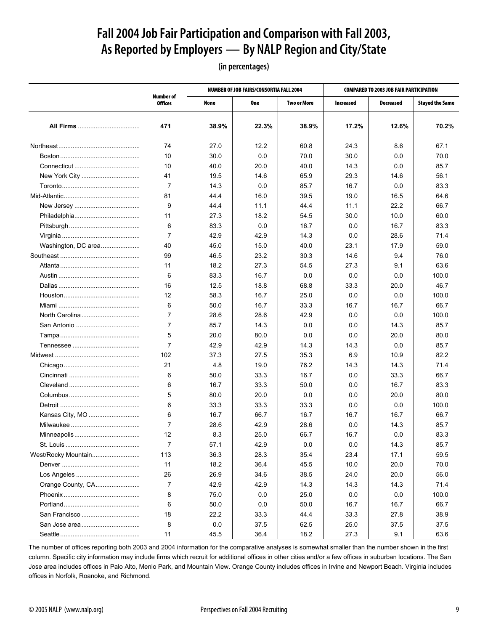### **Fall 2004 Job Fair Participation and Comparison with Fall 2003, As Reported by Employers — By NALP Region and City/State**

**(in percentages)**

|                     |                                    |       | <b>NUMBER OF JOB FAIRS/CONSORTIA FALL 2004</b> |             |                  | <b>COMPARED TO 2003 JOB FAIR PARTICIPATION</b> |                        |
|---------------------|------------------------------------|-------|------------------------------------------------|-------------|------------------|------------------------------------------------|------------------------|
|                     | <b>Number of</b><br><b>Offices</b> | None  | One                                            | Two or More | <b>Increased</b> | <b>Decreased</b>                               | <b>Stayed the Same</b> |
|                     |                                    |       |                                                |             |                  |                                                |                        |
|                     | 471                                | 38.9% | 22.3%                                          | 38.9%       | 17.2%            | 12.6%                                          | 70.2%                  |
|                     | 74                                 | 27.0  | 12.2                                           | 60.8        | 24.3             | 8.6                                            | 67.1                   |
|                     | 10                                 | 30.0  | 0.0                                            | 70.0        | 30.0             | 0.0                                            | 70.0                   |
|                     | 10                                 | 40.0  | 20.0                                           | 40.0        | 14.3             | 0.0                                            | 85.7                   |
| New York City       | 41                                 | 19.5  | 14.6                                           | 65.9        | 29.3             | 14.6                                           | 56.1                   |
|                     | 7                                  | 14.3  | 0.0                                            | 85.7        | 16.7             | 0.0                                            | 83.3                   |
|                     | 81                                 | 44.4  | 16.0                                           | 39.5        | 19.0             | 16.5                                           | 64.6                   |
|                     | 9                                  | 44.4  | 11.1                                           | 44.4        | 11.1             | 22.2                                           | 66.7                   |
|                     | 11                                 | 27.3  | 18.2                                           | 54.5        | 30.0             | 10.0                                           | 60.0                   |
|                     | 6                                  | 83.3  | 0.0                                            | 16.7        | 0.0              | 16.7                                           | 83.3                   |
|                     | $\overline{7}$                     | 42.9  | 42.9                                           | 14.3        | 0.0              | 28.6                                           | 71.4                   |
| Washington, DC area | 40                                 | 45.0  | 15.0                                           | 40.0        | 23.1             | 17.9                                           | 59.0                   |
|                     | 99                                 | 46.5  | 23.2                                           | 30.3        | 14.6             | 9.4                                            | 76.0                   |
|                     | 11                                 | 18.2  | 27.3                                           | 54.5        | 27.3             | 9.1                                            | 63.6                   |
|                     | 6                                  | 83.3  | 16.7                                           | 0.0         | 0.0              | 0.0                                            | 100.0                  |
|                     | 16                                 | 12.5  | 18.8                                           | 68.8        | 33.3             | 20.0                                           | 46.7                   |
|                     | 12                                 | 58.3  | 16.7                                           | 25.0        | 0.0              | 0.0                                            | 100.0                  |
|                     | 6                                  | 50.0  | 16.7                                           | 33.3        | 16.7             | 16.7                                           | 66.7                   |
| North Carolina      | 7                                  | 28.6  | 28.6                                           | 42.9        | 0.0              | 0.0                                            | 100.0                  |
|                     | $\overline{7}$                     | 85.7  | 14.3                                           | 0.0         | 0.0              | 14.3                                           | 85.7                   |
|                     | 5                                  | 20.0  | 80.0                                           | 0.0         | 0.0              | 20.0                                           | 80.0                   |
|                     | $\overline{7}$                     | 42.9  | 42.9                                           | 14.3        | 14.3             | 0.0                                            | 85.7                   |
|                     | 102                                | 37.3  | 27.5                                           | 35.3        | 6.9              | 10.9                                           | 82.2                   |
|                     | 21                                 | 4.8   | 19.0                                           | 76.2        | 14.3             | 14.3                                           | 71.4                   |
|                     | 6                                  | 50.0  | 33.3                                           | 16.7        | 0.0              | 33.3                                           | 66.7                   |
|                     | 6                                  | 16.7  | 33.3                                           | 50.0        | 0.0              | 16.7                                           | 83.3                   |
|                     | 5                                  | 80.0  | 20.0                                           | 0.0         | 0.0              | 20.0                                           | 80.0                   |
|                     | 6                                  | 33.3  | 33.3                                           | 33.3        | 0.0              | 0.0                                            | 100.0                  |
| Kansas City, MO     | 6                                  | 16.7  | 66.7                                           | 16.7        | 16.7             | 16.7                                           | 66.7                   |
|                     | 7                                  | 28.6  | 42.9                                           | 28.6        | 0.0              | 14.3                                           | 85.7                   |
|                     | 12                                 | 8.3   | 25.0                                           | 66.7        | 16.7             | 0.0                                            | 83.3                   |
|                     | 7                                  | 57.1  | 42.9                                           | 0.0         | 0.0              | 14.3                                           | 85.7                   |
| West/Rocky Mountain | 113                                | 36.3  | 28.3                                           | 35.4        | 23.4             | 17.1                                           | 59.5                   |
|                     | 11                                 | 18.2  | 36.4                                           | 45.5        | 10.0             | 20.0                                           | 70.0                   |
|                     | 26                                 | 26.9  | 34.6                                           | 38.5        | 24.0             | 20.0                                           | 56.0                   |
| Orange County, CA   | 7                                  | 42.9  | 42.9                                           | 14.3        | 14.3             | 14.3                                           | 71.4                   |
|                     | 8                                  | 75.0  | 0.0                                            | 25.0        | 0.0              | 0.0                                            | 100.0                  |
|                     | 6                                  | 50.0  | 0.0                                            | 50.0        | 16.7             | 16.7                                           | 66.7                   |
| San Francisco       | 18                                 | 22.2  | 33.3                                           | 44.4        | 33.3             | 27.8                                           | 38.9                   |
|                     | 8                                  | 0.0   | 37.5                                           | 62.5        | 25.0             | 37.5                                           | 37.5                   |
|                     | 11                                 | 45.5  | 36.4                                           | 18.2        | 27.3             | 9.1                                            | 63.6                   |

The number of offices reporting both 2003 and 2004 information for the comparative analyses is somewhat smaller than the number shown in the first column. Specific city information may include firms which recruit for additional offices in other cities and/or a few offices in suburban locations. The San Jose area includes offices in Palo Alto, Menlo Park, and Mountain View. Orange County includes offices in Irvine and Newport Beach. Virginia includes offices in Norfolk, Roanoke, and Richmond.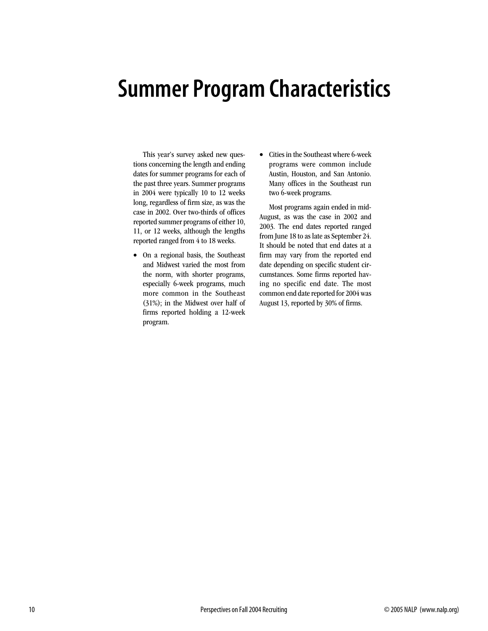# **Summer Program Characteristics**

This year's survey asked new questions concerning the length and ending dates for summer programs for each of the past three years. Summer programs in 2004 were typically 10 to 12 weeks long, regardless of firm size, as was the case in 2002. Over two-thirds of offices reported summer programs of either 10, 11, or 12 weeks, although the lengths reported ranged from 4 to 18 weeks.

- On a regional basis, the Southeast and Midwest varied the most from the norm, with shorter programs, especially 6-week programs, much more common in the Southeast (31%); in the Midwest over half of firms reported holding a 12-week program.
- Cities in the Southeast where 6-week programs were common include Austin, Houston, and San Antonio. Many offices in the Southeast run two 6-week programs.

Most programs again ended in mid-August, as was the case in 2002 and 2003. The end dates reported ranged from June 18 to as late as September 24. It should be noted that end dates at a firm may vary from the reported end date depending on specific student circumstances. Some firms reported having no specific end date. The most common end date reported for 2004 was August 13, reported by 30% of firms.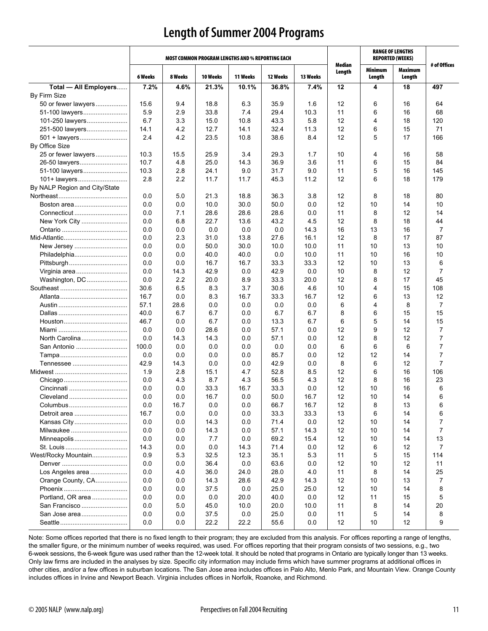### **Length of Summer 2004 Programs**

|                               |         |         | MOST COMMON PROGRAM LENGTHS AND % REPORTING EACH |          |          |          |                  |                   | <b>RANGE OF LENGTHS</b><br><b>REPORTED (WEEKS)</b> |                |
|-------------------------------|---------|---------|--------------------------------------------------|----------|----------|----------|------------------|-------------------|----------------------------------------------------|----------------|
|                               | 6 Weeks | 8 Weeks | 10 Weeks                                         | 11 Weeks | 12 Weeks | 13 Weeks | Median<br>Length | Minimum<br>Length | Maximum<br>Length                                  | # of Offices   |
| Total - All Employers         | 7.2%    | 4.6%    | 21.3%                                            | 10.1%    | 36.8%    | 7.4%     | 12               | 4                 | 18                                                 | 497            |
| By Firm Size                  |         |         |                                                  |          |          |          |                  |                   |                                                    |                |
| 50 or fewer lawyers           | 15.6    | 9.4     | 18.8                                             | 6.3      | 35.9     | 1.6      | 12               | 6                 | 16                                                 | 64             |
| 51-100 lawyers                | 5.9     | 2.9     | 33.8                                             | 7.4      | 29.4     | 10.3     | 11               | 6                 | 16                                                 | 68             |
| 101-250 lawyers               | 6.7     | 3.3     | 15.0                                             | 10.8     | 43.3     | 5.8      | 12               | 4                 | 18                                                 | 120            |
| 251-500 lawyers               | 14.1    | 4.2     | 12.7                                             | 14.1     | 32.4     | 11.3     | 12               | 6                 | 15                                                 | 71             |
| 501 + lawyers                 | 2.4     | 4.2     | 23.5                                             | 10.8     | 38.6     | 8.4      | 12               | 5                 | 17                                                 | 166            |
| By Office Size                |         |         |                                                  |          |          |          |                  |                   |                                                    |                |
| 25 or fewer lawyers           | 10.3    | 15.5    | 25.9                                             | 3.4      | 29.3     | 1.7      | 10               | 4                 | 16                                                 | 58             |
| 26-50 lawyers                 | 10.7    | 4.8     | 25.0                                             | 14.3     | 36.9     | 3.6      | 11               | 6                 | 15                                                 | 84             |
| 51-100 lawyers                | 10.3    | 2.8     | 24.1                                             | 9.0      | 31.7     | 9.0      | 11               | 5                 | 16                                                 | 145            |
| 101+ lawyers                  | 2.8     | 2.2     | 11.7                                             | 11.7     | 45.3     | 11.2     | 12               | 6                 | 18                                                 | 179            |
| By NALP Region and City/State |         |         |                                                  |          |          |          |                  |                   |                                                    |                |
|                               | 0.0     | 5.0     | 21.3                                             | 18.8     | 36.3     | 3.8      | 12               | 8                 | 18                                                 | 80             |
| Boston area                   | 0.0     | 0.0     | 10.0                                             | 30.0     | 50.0     | 0.0      | 12               | 10                | 14                                                 | 10             |
| Connecticut                   | 0.0     | 7.1     | 28.6                                             | 28.6     | 28.6     | 0.0      | 11               | 8                 | 12                                                 | 14             |
| New York City                 | 0.0     | 6.8     | 22.7                                             | 13.6     | 43.2     | 4.5      | 12               | 8                 | 18                                                 | 44             |
|                               | 0.0     | 0.0     | 0.0                                              | 0.0      | 0.0      | 14.3     | 16               | 13                | 16                                                 | 7              |
|                               | 0.0     | 2.3     | 31.0                                             | 13.8     | 27.6     | 16.1     | 12               | 8                 | 17                                                 | 87             |
| New Jersey                    | 0.0     | 0.0     | 50.0                                             | 30.0     | 10.0     | 10.0     | 11               | 10                | 13                                                 | 10             |
| Philadelphia                  | 0.0     | 0.0     | 40.0                                             | 40.0     | 0.0      | 10.0     | 11               | 10                | 16                                                 | 10             |
| Pittsburgh                    | 0.0     | 0.0     | 16.7                                             | 16.7     | 33.3     | 33.3     | 12               | 10                | 13                                                 | 6              |
| Virginia area                 | 0.0     | 14.3    | 42.9                                             | 0.0      | 42.9     | 0.0      | 10               | 8                 | 12                                                 | 7              |
| Washington, DC                | 0.0     | 2.2     | 20.0                                             | 8.9      | 33.3     | 20.0     | 12               | 8                 | 17                                                 | 45             |
|                               | 30.6    | 6.5     | 8.3                                              | 3.7      | 30.6     | 4.6      | 10               | 4                 | 15                                                 | 108            |
|                               | 16.7    | 0.0     | 8.3                                              | 16.7     | 33.3     | 16.7     | 12               | 6                 | 13                                                 | 12             |
|                               | 57.1    | 28.6    | 0.0                                              | 0.0      | 0.0      | 0.0      | 6                | 4                 | 8                                                  | 7              |
|                               | 40.0    | 6.7     | 6.7                                              | 0.0      | 6.7      | 6.7      | 8                | 6                 | 15                                                 | 15             |
|                               | 46.7    | 0.0     | 6.7                                              | 0.0      | 13.3     | 6.7      | 6                | 5                 | 14                                                 | 15             |
|                               | 0.0     | 0.0     | 28.6                                             | 0.0      | 57.1     | 0.0      | 12               | 9                 | 12                                                 | 7              |
| North Carolina                | 0.0     | 14.3    | 14.3                                             | 0.0      | 57.1     | 0.0      | 12               | 8                 | 12                                                 | 7              |
| San Antonio                   | 100.0   | 0.0     | 0.0                                              | 0.0      | 0.0      | 0.0      | 6                | 6                 | 6                                                  | 7              |
|                               | 0.0     | 0.0     | 0.0                                              | 0.0      | 85.7     | 0.0      | 12               | 12                | 14                                                 | 7              |
|                               | 42.9    | 14.3    | 0.0                                              | 0.0      | 42.9     | 0.0      | 8                | 6                 | 12                                                 | 7              |
|                               | 1.9     | 2.8     | 15.1                                             | 4.7      | 52.8     | 8.5      | 12               | 6                 | 16                                                 | 106            |
|                               | 0.0     | 4.3     | 8.7                                              | 4.3      | 56.5     | 4.3      | 12               | 8                 | 16                                                 | 23             |
|                               | 0.0     | 0.0     | 33.3                                             | 16.7     | 33.3     | 0.0      | 12               | 10                | 16                                                 | 6              |
| Cleveland                     | 0.0     | 0.0     | 16.7                                             | 0.0      | 50.0     | 16.7     | 12               | 10                | 14                                                 | 6              |
| Columbus                      | 0.0     | 16.7    | 0.0                                              | 0.0      | 66.7     | 16.7     | 12               | 8                 | 13                                                 | 6              |
| Detroit area                  | 16.7    | 0.0     | 0.0                                              | 0.0      | 33.3     | 33.3     | 13               | 6                 | 14                                                 | 6              |
| Kansas City                   | 0.0     | 0.0     | 14.3                                             | 0.0      | 71.4     | 0.0      | 12               | 10                | 14                                                 | 7              |
| Milwaukee                     | 0.0     | 0.0     | 14.3                                             | 0.0      | 57.1     | 14.3     | 12               | 10                | 14                                                 | $\overline{7}$ |
| Minneapolis                   | 0.0     | 0.0     | 7.7                                              | 0.0      | 69.2     | 15.4     | 12               | 10                | 14                                                 | 13             |
|                               | 14.3    | 0.0     | 0.0                                              | 14.3     | 71.4     | 0.0      | 12               | 6                 | 12                                                 | 7              |
| West/Rocky Mountain           | 0.9     | 5.3     | 32.5                                             | 12.3     | 35.1     | 5.3      | 11               | 5                 | 15                                                 | 114            |
|                               | 0.0     | 0.0     | 36.4                                             | 0.0      | 63.6     | 0.0      | 12               | 10                | 12                                                 | 11             |
| Los Angeles area              | 0.0     | 4.0     | 36.0                                             | 24.0     | 28.0     | 4.0      | 11               | 8                 | 14                                                 | 25             |
| Orange County, CA             | 0.0     | 0.0     | 14.3                                             | 28.6     | 42.9     | 14.3     | 12               | 10                | 13                                                 | 7              |
|                               | 0.0     | 0.0     | 37.5                                             | 0.0      | 25.0     | 25.0     | 12               | 10                | 14                                                 | 8              |
| Portland, OR area             | 0.0     | 0.0     | 0.0                                              | 20.0     | 40.0     | 0.0      | 12               | 11                | 15                                                 | 5              |
| San Francisco                 | 0.0     | 5.0     | 45.0                                             | 10.0     | 20.0     | 10.0     | 11               | 8                 | 14                                                 | 20             |
| San Jose area                 | 0.0     | 0.0     | 37.5                                             | 0.0      | 25.0     | 0.0      | 11               | 5                 | 14                                                 | 8              |
|                               | 0.0     | 0.0     | 22.2                                             | 22.2     | 55.6     | 0.0      | 12               | 10                | 12                                                 | 9              |

Note: Some offices reported that there is no fixed length to their program; they are excluded from this analysis. For offices reporting a range of lengths, the smaller figure, or the minimum number of weeks required, was used. For offices reporting that their program consists of two sessions, e.g., two 6-week sessions, the 6-week figure was used rather than the 12-week total. It should be noted that programs in Ontario are typically longer than 13 weeks. Only law firms are included in the analyses by size. Specific city information may include firms which have summer programs at additional offices in other cities, and/or a few offices in suburban locations. The San Jose area includes offices in Palo Alto, Menlo Park, and Mountain View. Orange County includes offices in Irvine and Newport Beach. Virginia includes offices in Norfolk, Roanoke, and Richmond.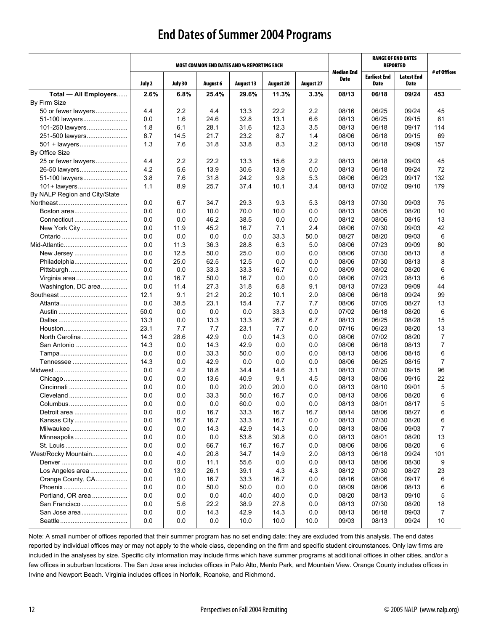### **End Dates of Summer 2004 Programs**

|                               |            |            |                 | <b>MOST COMMON END DATES AND % REPORTING EACH</b> |                  |                  |                           |                             | <b>RANGE OF END DATES</b><br><b>REPORTED</b> |                |
|-------------------------------|------------|------------|-----------------|---------------------------------------------------|------------------|------------------|---------------------------|-----------------------------|----------------------------------------------|----------------|
|                               | July 2     | July 30    | <b>August 6</b> | <b>August 13</b>                                  | <b>August 20</b> | <b>August 27</b> | Median End<br><b>Date</b> | <b>Earliest End</b><br>Date | <b>Latest End</b><br><b>Date</b>             | # of Offices   |
| Total - All Employers         | 2.6%       | 6.8%       | 25.4%           | 29.6%                                             | 11.3%            | 3.3%             | 08/13                     | 06/18                       | 09/24                                        | 453            |
| By Firm Size                  |            |            |                 |                                                   |                  |                  |                           |                             |                                              |                |
| 50 or fewer lawyers           | 4.4        | 2.2        | 4.4             | 13.3                                              | 22.2             | 2.2              | 08/16                     | 06/25                       | 09/24                                        | 45             |
| 51-100 lawyers                | 0.0        | 1.6        | 24.6            | 32.8                                              | 13.1             | 6.6              | 08/13                     | 06/25                       | 09/15                                        | 61             |
| 101-250 lawyers               | 1.8        | 6.1        | 28.1            | 31.6                                              | 12.3             | 3.5              | 08/13                     | 06/18                       | 09/17                                        | 114            |
| 251-500 lawyers               | 8.7        | 14.5       | 21.7            | 23.2                                              | 8.7              | 1.4              | 08/06                     | 06/18                       | 09/15                                        | 69             |
| 501 + lawyers                 | 1.3        | 7.6        | 31.8            | 33.8                                              | 8.3              | 3.2              | 08/13                     | 06/18                       | 09/09                                        | 157            |
| <b>By Office Size</b>         |            |            |                 |                                                   |                  |                  |                           |                             |                                              |                |
| 25 or fewer lawyers           | 4.4        | 2.2        | 22.2            | 13.3                                              | 15.6             | 2.2              | 08/13                     | 06/18                       | 09/03                                        | 45             |
| 26-50 lawyers                 | 4.2        | 5.6        | 13.9            | 30.6                                              | 13.9             | 0.0              | 08/13                     | 06/18                       | 09/24                                        | 72             |
| 51-100 lawyers                | 3.8        | 7.6        | 31.8            | 24.2                                              | 9.8              | 5.3              | 08/06                     | 06/23                       | 09/17                                        | 132            |
| 101+ lawyers                  | 1.1        | 8.9        | 25.7            | 37.4                                              | 10.1             | 3.4              | 08/13                     | 07/02                       | 09/10                                        | 179            |
| By NALP Region and City/State |            |            |                 |                                                   |                  |                  |                           |                             |                                              |                |
|                               | 0.0        | 6.7        | 34.7            | 29.3                                              | 9.3              | 5.3              | 08/13                     | 07/30                       | 09/03                                        | 75             |
| Boston area                   | 0.0        | 0.0        | 10.0            | 70.0                                              | 10.0             | 0.0              | 08/13                     | 08/05                       | 08/20                                        | 10             |
| Connecticut                   | 0.0        | 0.0        | 46.2            | 38.5                                              | 0.0              | 0.0              | 08/12                     | 08/06                       | 08/15                                        | 13             |
| New York City                 | 0.0        | 11.9       | 45.2            | 16.7                                              | 7.1              | 2.4              | 08/06                     | 07/30                       | 09/03                                        | 42             |
|                               | 0.0        | 0.0        | 0.0             | 0.0                                               | 33.3             | 50.0             | 08/27                     | 08/20                       | 09/03                                        | 6              |
|                               | 0.0        | 11.3       | 36.3            | 28.8                                              | 6.3              | 5.0              | 08/06                     | 07/23                       | 09/09                                        | 80             |
| New Jersey                    | 0.0        | 12.5       | 50.0            | 25.0                                              | 0.0              | 0.0              | 08/06                     | 07/30                       | 08/13                                        | 8              |
| Philadelphia                  | 0.0        | 25.0       | 62.5            | 12.5                                              | 0.0              | 0.0              | 08/06                     | 07/30                       | 08/13                                        | 8              |
|                               | 0.0        | 0.0        | 33.3            | 33.3                                              | 16.7             | 0.0              | 08/09                     | 08/02                       | 08/20                                        | 6              |
| Virginia area                 | 0.0        | 16.7       | 50.0            | 16.7                                              | 0.0              | 0.0              | 08/06                     | 07/23                       | 08/13                                        | 6              |
| Washington, DC area           | 0.0        | 11.4       | 27.3            | 31.8                                              | 6.8              | 9.1              | 08/13                     | 07/23                       | 09/09                                        | 44             |
|                               | 12.1       | 9.1        | 21.2            | 20.2                                              | 10.1             | 2.0              | 08/06                     | 06/18                       | 09/24                                        | 99             |
|                               | 0.0        | 38.5       | 23.1            | 15.4                                              | 7.7              | 7.7              | 08/06                     | 07/05                       | 08/27                                        | 13             |
|                               | 50.0       | 0.0        | 0.0             | 0.0                                               | 33.3             | 0.0              | 07/02                     | 06/18                       | 08/20                                        | 6              |
|                               | 13.3       | 0.0        | 13.3            | 13.3                                              | 26.7             | 6.7              | 08/13                     | 06/25                       | 08/28                                        | 15             |
|                               | 23.1       | 7.7        | 7.7             | 23.1                                              | 7.7              | 0.0              | 07/16                     | 06/23                       | 08/20                                        | 13             |
|                               | 14.3       | 28.6       | 42.9            | 0.0                                               | 14.3             | 0.0              | 08/06                     | 07/02                       | 08/20                                        | $\overline{7}$ |
| San Antonio                   | 14.3       | 0.0        | 14.3            | 42.9                                              | 0.0              | 0.0              | 08/06                     | 06/18                       | 08/13                                        | $\overline{7}$ |
|                               | 0.0        | 0.0        | 33.3            | 50.0                                              | 0.0              | 0.0              | 08/13                     | 08/06                       | 08/15                                        | 6              |
|                               | 14.3       | 0.0        | 42.9            | 0.0                                               | 0.0              | 0.0              | 08/06                     | 06/25                       | 08/15                                        | $\overline{7}$ |
|                               | 0.0        | 4.2        | 18.8            | 34.4                                              | 14.6             | 3.1              | 08/13                     | 07/30                       | 09/15                                        | 96             |
|                               | 0.0        | 0.0        | 13.6            | 40.9                                              | 9.1              | 4.5              | 08/13                     | 08/06                       | 09/15                                        | 22             |
|                               | 0.0        | 0.0        | 0.0             | 20.0                                              | 20.0             | 0.0              | 08/13                     | 08/10                       | 09/01                                        | 5              |
| Cleveland                     | 0.0        | 0.0        | 33.3            | 50.0                                              | 16.7             | 0.0              | 08/13                     | 08/06                       | 08/20                                        | 6              |
| Columbus                      | 0.0        | 0.0        | 0.0             | 60.0                                              | 0.0              | 0.0              | 08/13                     | 08/01                       | 08/17                                        | 5              |
| Detroit area                  | 0.0        | 0.0        | 16.7            | 33.3                                              | 16.7             | 16.7             | 08/14                     | 08/06                       | 08/27                                        | 6              |
|                               | 0.0        | 16.7       | 16.7            | 33.3                                              | 16.7             | 0.0              | 08/13                     | 07/30                       | 08/20                                        | 6              |
| Milwaukee                     | 0.0        | 0.0        | 14.3            | 42.9                                              | 14.3             | 0.0              | 08/13                     | 08/06                       | 09/03                                        | 7              |
| Minneapolis                   | 0.0        | 0.0        | 0.0             | 53.8                                              | 30.8             | 0.0              | 08/13                     | 08/01                       | 08/20                                        | 13             |
| West/Rocky Mountain           | 0.0<br>0.0 | 0.0        | 66.7<br>20.8    | 16.7<br>34.7                                      | 16.7<br>14.9     | 0.0<br>2.0       | 08/06<br>08/13            | 08/06<br>06/18              | 08/20<br>09/24                               | 6<br>101       |
|                               | 0.0        | 4.0<br>0.0 | 11.1            | 55.6                                              | 0.0              | 0.0              | 08/13                     | 08/06                       | 08/30                                        | 9              |
| Los Angeles area              | 0.0        | 13.0       | 26.1            | 39.1                                              | 4.3              | 4.3              | 08/12                     | 07/30                       | 08/27                                        | 23             |
| Orange County, CA             | 0.0        | 0.0        | 16.7            | 33.3                                              | 16.7             | 0.0              | 08/16                     | 08/06                       | 09/17                                        | 6              |
|                               | 0.0        | 0.0        | 50.0            | 50.0                                              | 0.0              | 0.0              | 08/09                     | 08/06                       | 08/13                                        | 6              |
| Portland, OR area             | 0.0        | 0.0        | 0.0             | 40.0                                              | 40.0             | 0.0              | 08/20                     | 08/13                       | 09/10                                        | 5              |
| San Francisco                 | 0.0        | 5.6        | 22.2            | 38.9                                              | 27.8             | 0.0              | 08/13                     | 07/30                       | 08/20                                        | 18             |
| San Jose area                 | 0.0        | 0.0        | 14.3            | 42.9                                              | 14.3             | 0.0              | 08/13                     | 06/18                       | 09/03                                        | 7              |
|                               | 0.0        | 0.0        | 0.0             | 10.0                                              | 10.0             | 10.0             | 09/03                     | 08/13                       | 09/24                                        | 10             |
|                               |            |            |                 |                                                   |                  |                  |                           |                             |                                              |                |

Note: A small number of offices reported that their summer program has no set ending date; they are excluded from this analysis. The end dates reported by individual offices may or may not apply to the whole class, depending on the firm and specific student circumstances. Only law firms are included in the analyses by size. Specific city information may include firms which have summer programs at additional offices in other cities, and/or a few offices in suburban locations. The San Jose area includes offices in Palo Alto, Menlo Park, and Mountain View. Orange County includes offices in Irvine and Newport Beach. Virginia includes offices in Norfolk, Roanoke, and Richmond.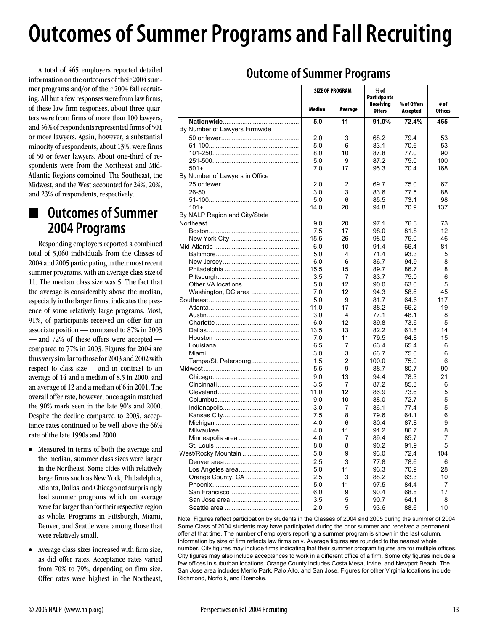# **Outcomes of Summer Programs and Fall Recruiting**

A total of 465 employers reported detailed information on the outcomes of their 2004 summer programs and/or of their 2004 fall recruiting. All but a few responses were from law firms; of these law firm responses, about three-quarters were from firms of more than 100 lawyers, and 36% of respondents represented firms of 501 or more lawyers. Again, however, a substantial minority of respondents, about 13%, were firms of 50 or fewer lawyers. About one-third of respondents were from the Northeast and Mid-Atlantic Regions combined. The Southeast, the Midwest, and the West accounted for 24%, 20%, and 23% of respondents, respectively.

### **Outcomes of Summer 2004 Programs**

Responding employers reported a combined total of 5,060 individuals from the Classes of 2004 and 2005 participating in their most recent summer programs, with an average class size of 11. The median class size was 5. The fact that the average is considerably above the median, especially in the larger firms, indicates the presence of some relatively large programs. Most, 91%, of participants received an offer for an associate position — compared to 87% in 2003 — and 72% of these offers were accepted compared to 77% in 2003. Figures for 2004 are thus very similar to those for 2003 and 2002 with respect to class size — and in contrast to an average of 14 and a median of 8.5 in 2000, and an average of 12 and a median of 6 in 2001. The overall offer rate, however, once again matched the 90% mark seen in the late 90's and 2000. Despite the decline compared to 2003, acceptance rates continued to be well above the 66% rate of the late 1990s and 2000.

- Measured in terms of both the average and the median, summer class sizes were larger in the Northeast. Some cities with relatively large firms such as New York, Philadelphia, Atlanta, Dallas, and Chicago not surprisingly had summer programs which on average were far larger than for their respective region as whole. Programs in Pittsburgh, Miami, Denver, and Seattle were among those that were relatively small.
- Average class sizes increased with firm size, as did offer rates. Acceptance rates varied from 70% to 79%, depending on firm size. Offer rates were highest in the Northeast,

|  | <b>Outcome of Summer Programs</b> |  |
|--|-----------------------------------|--|
|--|-----------------------------------|--|

|                                |        | <b>SIZE OF PROGRAM</b> | % of                       |                         |                        |
|--------------------------------|--------|------------------------|----------------------------|-------------------------|------------------------|
|                                |        |                        | Participants               |                         |                        |
|                                | Median | Average                | Receiving<br><b>Offers</b> | % of Offers<br>Accepted | # of<br><b>Offices</b> |
|                                | 5.0    | 11                     | 91.0%                      | 72.4%                   | 465                    |
| By Number of Lawyers Firmwide  |        |                        |                            |                         |                        |
|                                | 2.0    | 3                      | 68.2                       | 79.4                    | 53                     |
|                                | 5.0    | 6                      | 83.1                       | 70.6                    | 53                     |
|                                | 8.0    | 10                     | 87.8                       | 77.0                    | 90                     |
|                                | 5.0    | 9                      | 87.2                       | 75.0                    | 100                    |
|                                | 7.0    | 17                     | 95.3                       | 70.4                    | 168                    |
| By Number of Lawyers in Office |        |                        |                            |                         |                        |
|                                | 2.0    | 2                      | 69.7                       | 75.0                    | 67                     |
|                                | 3.0    | 3                      | 83.6                       | 77.5                    | 88                     |
|                                | 5.0    | 6                      | 85.5                       | 73.1                    | 98                     |
|                                | 14.0   | 20                     | 94.8                       | 70.9                    | 137                    |
| By NALP Region and City/State  |        |                        |                            |                         |                        |
|                                | 9.0    | 20                     | 97.1                       | 76.3                    | 73                     |
|                                | 7.5    | 17                     | 98.0                       | 81.8                    | 12                     |
|                                | 15.5   | 26                     | 98.0                       | 75.0                    | 46                     |
|                                | 6.0    | 10                     | 91.4                       | 66.4                    | 81                     |
|                                | 5.0    | 4                      | 71.4                       | 93.3                    | 5                      |
|                                | 6.0    | 6                      | 86.7                       | 94.9                    | 8                      |
|                                | 15.5   | 15                     | 89.7                       | 86.7                    | 8                      |
|                                | 3.5    | 7                      | 83.7                       | 75.0                    | 6                      |
|                                | 5.0    | 12                     | 90.0                       | 63.0                    | 5                      |
| Washington, DC area            | 7.0    | 12                     | 94.3                       | 58.6                    | 45                     |
|                                | 5.0    | 9                      | 81.7                       | 64.6                    | 117                    |
|                                | 11.0   | 17                     | 88.2                       | 66.2                    | 19                     |
|                                | 3.0    | 4                      | 77.1                       | 48.1                    | 8                      |
|                                | 6.0    | 12                     | 89.8                       | 73.6                    | 5                      |
|                                | 13.5   | 13                     | 82.2                       | 61.8                    | 14                     |
|                                | 7.0    | 11                     | 79.5                       | 64.8                    | 15                     |
|                                | 6.5    | 7                      | 63.4                       | 65.4                    | 6                      |
|                                | 3.0    | 3                      | 66.7                       | 75.0                    | 6                      |
| Tampa/St. Petersburg           | 1.5    | 2                      | 100.0                      | 75.0                    | 6                      |
|                                | 5.5    | 9                      | 88.7                       | 80.7                    | 90                     |
|                                | 9.0    | 13                     | 94.4                       | 78.3                    | 21                     |
|                                | 3.5    | 7                      | 87.2                       | 85.3                    | 6                      |
|                                | 11.0   | 12                     | 86.9                       | 73.6                    | 5                      |
|                                | 9.0    | 10                     | 88.0                       | 72.7                    | 5                      |
|                                | 3.0    | 7                      | 86.1                       | 77.4                    | 5                      |
|                                | 7.5    | 8                      | 79.6                       | 64.1                    | 6                      |
|                                | 4.0    | 6                      | 80.4                       | 87.8                    | 9                      |
|                                | 4.0    | 11                     | 91.2                       | 86.7                    | 8                      |
|                                | 4.0    | $\overline{7}$         | 89.4                       | 85.7                    | 7                      |
|                                | 8.0    | 8                      | 90.2                       | 91.9                    | 5                      |
| West/Rocky Mountain            | 5.0    | 9                      | 93.0                       | 72.4                    | 104                    |
|                                | 2.5    | 3                      | 77.8                       | 78.6                    | 6                      |
|                                | 5.0    | 11                     | 93.3                       | 70.9                    | 28                     |
| Orange County, CA              | 2.5    | 3                      | 88.2                       | 63.3                    | 10                     |
|                                | 5.0    | 11                     | 97.5                       | 84.4                    | 7                      |
|                                | 6.0    | 9                      | 90.4                       | 68.8                    | 17                     |
|                                | 3.5    | 5                      | 90.7                       | 64.1                    | 8                      |
|                                | 2.0    | 5                      | 93.6                       | 88.6                    | 10                     |
|                                |        |                        |                            |                         |                        |

Note: Figures reflect participation by students in the Classes of 2004 and 2005 during the summer of 2004. Some Class of 2004 students may have participated during the prior summer and received a permanent offer at that time. The number of employers reporting a summer program is shown in the last column. Information by size of firm reflects law firms only. Average figures are rounded to the nearest whole number. City figures may include firms indicating that their summer program figures are for multiple offices. City figures may also include acceptances to work in a different office of a firm. Some city figures include a few offices in suburban locations. Orange County includes Costa Mesa, Irvine, and Newport Beach. The San Jose area includes Menlo Park, Palo Alto, and San Jose. Figures for other Virginia locations include Richmond, Norfolk, and Roanoke.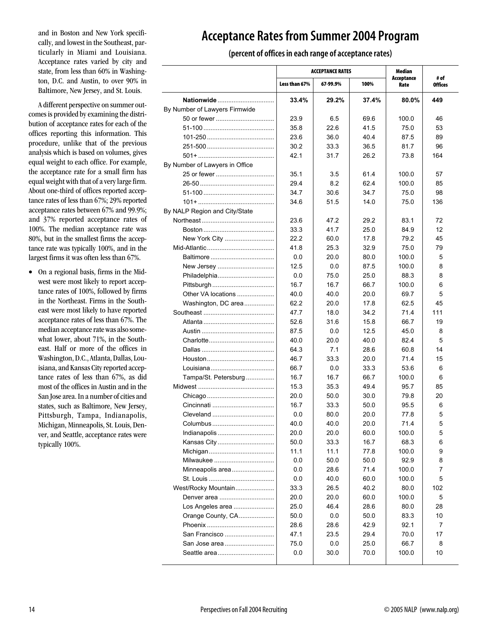and in Boston and New York specifically, and lowest in the Southeast, particularly in Miami and Louisiana. Acceptance rates varied by city and state, from less than 60% in Washington, D.C. and Austin, to over 90% in Baltimore, New Jersey, and St. Louis.

A different perspective on summer outcomes is provided by examining the distribution of acceptance rates for each of the offices reporting this information. This procedure, unlike that of the previous analysis which is based on volumes, gives equal weight to each office. For example, the acceptance rate for a small firm has equal weight with that of a very large firm. About one-third of offices reported acceptance rates of less than 67%; 29% reported acceptance rates between 67% and 99.9%; and 37% reported acceptance rates of 100%. The median acceptance rate was 80%, but in the smallest firms the acceptance rate was typically 100%, and in the largest firms it was often less than 67%.

• On a regional basis, firms in the Midwest were most likely to report acceptance rates of 100%, followed by firms in the Northeast. Firms in the Southeast were most likely to have reported acceptance rates of less than 67%. The median acceptance rate was also somewhat lower, about 71%, in the Southeast. Half or more of the offices in Washington, D.C., Atlanta, Dallas, Louisiana, and Kansas City reported acceptance rates of less than 67%, as did most of the offices in Austin and in the San Jose area. In a number of cities and states, such as Baltimore, New Jersey, Pittsburgh, Tampa, Indianapolis, Michigan, Minneapolis, St. Louis, Denver, and Seattle, acceptance rates were typically 100%.

### **Acceptance Rates from Summer 2004 Program**

**(percent of offices in each range of acceptance rates)**

|                                |               | <b>ACCEPTANCE RATES</b> |       | Median             |                 |
|--------------------------------|---------------|-------------------------|-------|--------------------|-----------------|
|                                | Less than 67% | 67-99.9%                | 100%  | Acceptance<br>Rate | # of<br>Offices |
| Nationwide                     | 33.4%         | 29.2%                   | 37.4% | 80.0%              | 449             |
| By Number of Lawyers Firmwide  |               |                         |       |                    |                 |
|                                | 23.9          | 6.5                     | 69.6  | 100.0              | 46              |
|                                | 35.8          | 22.6                    | 41.5  | 75.0               | 53              |
|                                | 23.6          | 36.0                    | 40.4  | 87.5               | 89              |
|                                | 30.2          | 33.3                    | 36.5  | 81.7               | 96              |
|                                | 42.1          | 31.7                    | 26.2  | 73.8               | 164             |
| By Number of Lawyers in Office |               |                         |       |                    |                 |
|                                | 35.1          | 3.5                     | 61.4  | 100.0              | 57              |
|                                | 29.4          | 8.2                     | 62.4  | 100.0              | 85              |
|                                | 34.7          | 30.6                    | 34.7  | 75.0               | 98              |
|                                | 34.6          | 51.5                    | 14.0  | 75.0               | 136             |
| By NALP Region and City/State  |               |                         |       |                    |                 |
|                                | 23.6          | 47.2                    | 29.2  | 83.1               | 72              |
|                                | 33.3          | 41.7                    | 25.0  | 84.9               | 12              |
| New York City                  | 22.2          | 60.0                    | 17.8  | 79.2               | 45              |
|                                | 41.8          | 25.3                    | 32.9  | 75.0               | 79              |
|                                | 0.0           | 20.0                    | 80.0  | 100.0              | 5               |
| New Jersey                     | 12.5          | 0.0                     | 87.5  | 100.0              | 8               |
| Philadelphia                   | 0.0           | 75.0                    | 25.0  | 88.3               | 8               |
|                                | 16.7          | 16.7                    | 66.7  | 100.0              | 6               |
| Other VA locations             | 40.0          | 40.0                    | 20.0  | 697                | 5               |
| Washington, DC area            | 62.2          | 20.0                    | 17.8  | 62.5               | 45              |
|                                | 47.7          | 18.0                    | 34.2  | 71.4               | 111             |
|                                | 52.6          | 31.6                    | 15.8  | 66.7               | 19              |
|                                | 87.5          | 0.0                     | 12.5  | 45.0               | 8               |
|                                | 40.0          | 20.0                    | 40.0  | 82.4               | 5               |
|                                | 64.3          | 7.1                     | 28.6  | 60.8               | 14              |
|                                | 46.7          | 33.3                    | 20.0  | 71.4               | 15              |
|                                | 66.7          | 0.0                     | 33.3  | 53.6               | 6               |
| Tampa/St. Petersburg           | 16.7          | 167                     | 66.7  | 100.0              | 6               |
|                                | 15.3          | 35.3                    | 49.4  | 95.7               | 85              |
|                                | 20.0          | 50.0                    | 30.0  | 79.8               | 20              |
|                                | 16.7          | 33.3                    | 50.0  | 95.5               | 6               |
|                                | 0.0           | 80.0                    | 20.0  | 77.8               | 5               |
|                                | 40.0          | 40.0                    | 20.0  | 71.4               | 5               |
| Indianapolis                   | 20.0          | 20.0                    | 60.0  | 100.0              | 5               |
| Kansas City                    | 50.0          | 33.3                    | 16.7  | 68.3               | 6               |
|                                | 11.1          | 11.1                    | 77.8  | 100.0              | 9               |
| Milwaukee                      | 0.0           | 50.0                    | 50.0  | 92.9               | 8               |
| Minneapolis area               | 0.0           | 28.6                    | 71.4  | 100.0              | 7               |
|                                | 0.0           | 40.0                    | 60.0  | 100.0              | 5               |
| West/Rocky Mountain            | 33.3          | 26.5                    | 40.2  | 80.0               | 102             |
|                                | 20.0          | 20.0                    | 60.0  | 100.0              | 5               |
| Los Angeles area               | 25.0          | 46.4                    | 28.6  | 80.0               | 28              |
| Orange County, CA              | 50.0          | 0.0                     | 50.0  | 83.3               | 10              |
|                                | 28.6          | 28.6                    | 42.9  | 92.1               | 7               |
| San Francisco                  | 47.1          | 23.5                    | 29.4  | 70.0               | 17              |
| San Jose area                  | 75.0          | 0.0                     | 25.0  | 66.7               | 8               |
|                                | 0.0           | 30.0                    | 70.0  | 100.0              | 10              |
|                                |               |                         |       |                    |                 |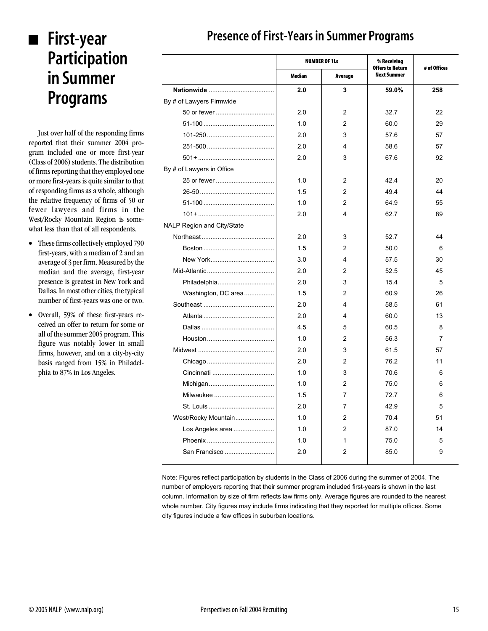# **First-year Participation in Summer Programs**

Just over half of the responding firms reported that their summer 2004 program included one or more first-year (Class of 2006) students. The distribution of firms reporting that they employed one or more first-years is quite similar to that of responding firms as a whole, although the relative frequency of firms of 50 or fewer lawyers and firms in the West/Rocky Mountain Region is somewhat less than that of all respondents.

- These firms collectively employed 790 first-years, with a median of 2 and an average of 3 per firm. Measured by the median and the average, first-year presence is greatest in New York and Dallas. In most other cities, the typical number of first-years was one or two.
- Overall, 59% of these first-years received an offer to return for some or all of the summer 2005 program. This figure was notably lower in small firms, however, and on a city-by-city basis ranged from 15% in Philadelphia to 87% in Los Angeles.

|                                   |        | <b>NUMBER OF 1Ls</b> | % Receiving                                   | # of Offices |  |
|-----------------------------------|--------|----------------------|-----------------------------------------------|--------------|--|
|                                   | Median | Average              | <b>Offers to Return</b><br><b>Next Summer</b> |              |  |
|                                   | 2.0    | 3                    | 59.0%                                         | 258          |  |
| By # of Lawyers Firmwide          |        |                      |                                               |              |  |
|                                   | 2.0    | $\overline{c}$       | 32.7                                          | 22           |  |
|                                   | 1.0    | 2                    | 60.0                                          | 29           |  |
|                                   | 2.0    | 3                    | 57.6                                          | 57           |  |
|                                   | 2.0    | 4                    | 58.6                                          | 57           |  |
|                                   | 2.0    | 3                    | 67.6                                          | 92           |  |
| By # of Lawyers in Office         |        |                      |                                               |              |  |
|                                   | 1.0    | 2                    | 42.4                                          | 20           |  |
|                                   | 1.5    | 2                    | 49.4                                          | 44           |  |
|                                   | 1.0    | $\overline{2}$       | 64.9                                          | 55           |  |
| $101 + \ldots$                    | 2.0    | 4                    | 62.7                                          | 89           |  |
| <b>NALP Region and City/State</b> |        |                      |                                               |              |  |
|                                   | 2.0    | 3                    | 52.7                                          | 44           |  |
|                                   | 1.5    | $\overline{2}$       | 50.0                                          | 6            |  |
|                                   | 3.0    | 4                    | 57.5                                          | 30           |  |
|                                   | 2.0    | 2                    | 52.5                                          | 45           |  |
| Philadelphia                      | 2.0    | 3                    | 15.4                                          | 5            |  |
| Washington, DC area               | 1.5    | $\overline{2}$       | 60.9                                          | 26           |  |
|                                   | 2.0    | 4                    | 58.5                                          | 61           |  |
|                                   | 2.0    | 4                    | 60.0                                          | 13           |  |
|                                   | 4.5    | 5                    | 60.5                                          | 8            |  |
|                                   | 1.0    | $\overline{2}$       | 56.3                                          | 7            |  |
|                                   | 2.0    | 3                    | 61.5                                          | 57           |  |
|                                   | 2.0    | 2                    | 76.2                                          | 11           |  |
|                                   | 1.0    | 3                    | 70.6                                          | 6            |  |
|                                   | 1.0    | $\overline{2}$       | 75.0                                          | 6            |  |
| Milwaukee                         | 1.5    | 7                    | 72.7                                          | 6            |  |
|                                   | 2.0    | 7                    | 42.9                                          | 5            |  |
| West/Rocky Mountain               | 1.0    | $\overline{2}$       | 70.4                                          | 51           |  |
| Los Angeles area                  | 1.0    | $\overline{2}$       | 87.0                                          | 14           |  |
|                                   | 1.0    | 1                    | 75.0                                          | 5            |  |
| San Francisco                     | 2.0    | 2                    | 85.0                                          | 9            |  |

### **Presence of First-Years in Summer Programs**

Note: Figures reflect participation by students in the Class of 2006 during the summer of 2004. The number of employers reporting that their summer program included first-years is shown in the last column. Information by size of firm reflects law firms only. Average figures are rounded to the nearest whole number. City figures may include firms indicating that they reported for multiple offices. Some city figures include a few offices in suburban locations.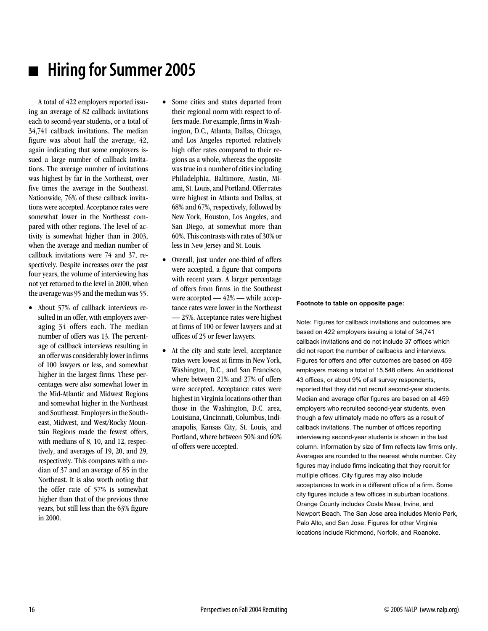# **Hiring for Summer 2005**

A total of 422 employers reported issuing an average of 82 callback invitations each to second-year students, or a total of 34,741 callback invitations. The median figure was about half the average, 42, again indicating that some employers issued a large number of callback invitations. The average number of invitations was highest by far in the Northeast, over five times the average in the Southeast. Nationwide, 76% of these callback invitations were accepted. Acceptance rates were somewhat lower in the Northeast compared with other regions. The level of activity is somewhat higher than in 2003, when the average and median number of callback invitations were 74 and 37, respectively. Despite increases over the past four years, the volume of interviewing has not yet returned to the level in 2000, when the average was 95 and the median was 55.

- About 57% of callback interviews resulted in an offer, with employers averaging 34 offers each. The median number of offers was 13. The percentage of callback interviews resulting in an offer was considerably lower in firms of 100 lawyers or less, and somewhat higher in the largest firms. These percentages were also somewhat lower in the Mid-Atlantic and Midwest Regions and somewhat higher in the Northeast and Southeast. Employers in the Southeast, Midwest, and West/Rocky Mountain Regions made the fewest offers, with medians of 8, 10, and 12, respectively, and averages of 19, 20, and 29, respectively. This compares with a median of 37 and an average of 85 in the Northeast. It is also worth noting that the offer rate of 57% is somewhat higher than that of the previous three years, but still less than the 63% figure in 2000.
- Some cities and states departed from their regional norm with respect to offers made. For example, firms in Washington, D.C., Atlanta, Dallas, Chicago, and Los Angeles reported relatively high offer rates compared to their regions as a whole, whereas the opposite was true in a number of cities including Philadelphia, Baltimore, Austin, Miami, St. Louis, and Portland. Offer rates were highest in Atlanta and Dallas, at 68% and 67%, respectively, followed by New York, Houston, Los Angeles, and San Diego, at somewhat more than 60%. This contrasts with rates of 30% or less in New Jersey and St. Louis.
- Overall, just under one-third of offers were accepted, a figure that comports with recent years. A larger percentage of offers from firms in the Southeast were accepted — 42% — while acceptance rates were lower in the Northeast — 25%. Acceptance rates were highest at firms of 100 or fewer lawyers and at offices of 25 or fewer lawyers.
- At the city and state level, acceptance rates were lowest at firms in New York, Washington, D.C., and San Francisco, where between 21% and 27% of offers were accepted. Acceptance rates were highest in Virginia locations other than those in the Washington, D.C. area, Louisiana, Cincinnati, Columbus, Indianapolis, Kansas City, St. Louis, and Portland, where between 50% and 60% of offers were accepted.

#### **Footnote to table on opposite page:**

Note: Figures for callback invitations and outcomes are based on 422 employers issuing a total of 34,741 callback invitations and do not include 37 offices which did not report the number of callbacks and interviews. Figures for offers and offer outcomes are based on 459 employers making a total of 15,548 offers. An additional 43 offices, or about 9% of all survey respondents, reported that they did not recruit second-year students. Median and average offer figures are based on all 459 employers who recruited second-year students, even though a few ultimately made no offers as a result of callback invitations. The number of offices reporting interviewing second-year students is shown in the last column. Information by size of firm reflects law firms only. Averages are rounded to the nearest whole number. City figures may include firms indicating that they recruit for multiple offices. City figures may also include acceptances to work in a different office of a firm. Some city figures include a few offices in suburban locations. Orange County includes Costa Mesa, Irvine, and Newport Beach. The San Jose area includes Menlo Park, Palo Alto, and San Jose. Figures for other Virginia locations include Richmond, Norfolk, and Roanoke.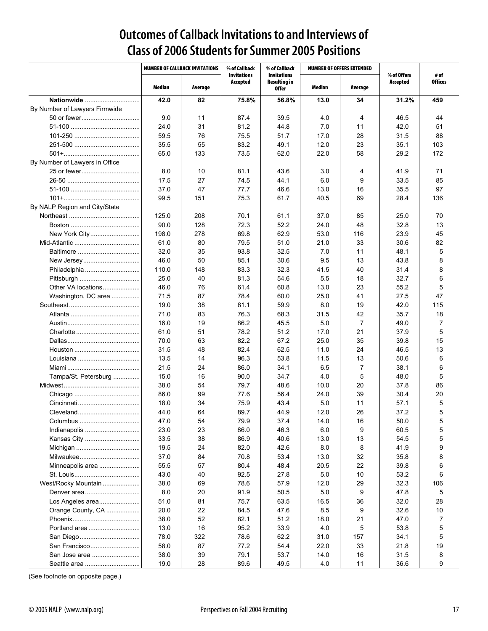### **Outcomes of Callback Invitations to and Interviews of Class of 2006 Students for Summer 2005 Positions**

|                                | <b>NUMBER OF CALLBACK INVITATIONS</b> |         | % of Callback<br><b>Invitations</b> | % of Callback<br><b>Invitations</b> | <b>NUMBER OF OFFERS EXTENDED</b> |                | % of Offers | # of           |  |
|--------------------------------|---------------------------------------|---------|-------------------------------------|-------------------------------------|----------------------------------|----------------|-------------|----------------|--|
|                                | Median                                | Average | Accepted                            | <b>Resulting in</b><br>0ffer        | Median                           | Average        | Accepted    | <b>Offices</b> |  |
| Nationwide                     | 42.0                                  | 82      | 75.8%                               | 56.8%                               | 13.0                             | 34             | 31.2%       | 459            |  |
| By Number of Lawyers Firmwide  |                                       |         |                                     |                                     |                                  |                |             |                |  |
| 50 or fewer                    | 9.0                                   | 11      | 87.4                                | 39.5                                | 4.0                              | 4              | 46.5        | 44             |  |
|                                | 24.0                                  | 31      | 81.2                                | 44.8                                | 7.0                              | 11             | 42.0        | 51             |  |
|                                | 59.5                                  | 76      | 75.5                                | 51.7                                | 17.0                             | 28             | 31.5        | 88             |  |
|                                | 35.5                                  | 55      | 83.2                                | 49.1                                | 12.0                             | 23             | 35.1        | 103            |  |
|                                | 65.0                                  | 133     | 73.5                                | 62.0                                | 22.0                             | 58             | 29.2        | 172            |  |
| By Number of Lawyers in Office |                                       |         |                                     |                                     |                                  |                |             |                |  |
|                                | 8.0                                   | 10      | 81.1                                | 43.6                                | 3.0                              | 4              | 41.9        | 71             |  |
|                                | 17.5                                  | 27      | 74.5                                | 44.1                                | 6.0                              | 9              | 33.5        | 85             |  |
|                                | 37.0                                  | 47      | 77.7                                | 46.6                                | 13.0                             | 16             | 35.5        | 97             |  |
|                                | 99.5                                  | 151     | 75.3                                | 61.7                                | 40.5                             | 69             | 28.4        | 136            |  |
| By NALP Region and City/State  |                                       |         |                                     |                                     |                                  |                |             |                |  |
|                                | 125.0                                 | 208     | 70.1                                | 61.1                                | 37.0                             | 85             | 25.0        | 70             |  |
|                                | 90.0                                  | 128     | 72.3                                | 52.2                                | 24.0                             | 48             | 32.8        | 13             |  |
| New York City                  | 198.0                                 | 278     | 69.8                                | 62.9                                | 53.0                             | 116            | 23.9        | 45             |  |
|                                | 61.0                                  | 80      | 79.5                                | 51.0                                | 21.0                             | 33             | 30.6        | 82             |  |
|                                | 32.0                                  | 35      | 93.8                                | 32.5                                | 7.0                              | 11             | 48.1        | 5              |  |
| New Jersey                     | 46.0                                  | 50      | 85.1                                | 30.6                                | 9.5                              | 13             | 43.8        | 8              |  |
|                                | 110.0                                 | 148     | 83.3                                | 32.3                                | 41.5                             | 40             | 31.4        | 8              |  |
|                                | 25.0                                  | 40      | 81.3                                | 54.6                                | 5.5                              | 18             | 32.7        | 6              |  |
| Other VA locations             | 46.0                                  | 76      | 61.4                                | 60.8                                | 13.0                             | 23             | 55.2        | 5              |  |
| Washington, DC area            | 71.5                                  | 87      | 78.4                                | 60.0                                | 25.0                             | 41             | 27.5        | 47             |  |
|                                | 19.0                                  | 38      | 81.1                                | 59.9                                | 8.0                              | 19             | 42.0        | 115            |  |
|                                | 71.0                                  | 83      | 76.3                                | 68.3                                | 31.5                             | 42             | 35.7        | 18             |  |
|                                | 16.0                                  | 19      | 86.2                                | 45.5                                | 5.0                              | $\overline{7}$ | 49.0        | 7              |  |
|                                | 61.0                                  | 51      | 78.2                                | 51.2                                | 17.0                             | 21             | 37.9        | 5              |  |
|                                | 70.0                                  | 63      | 82.2                                | 67.2                                | 25.0                             | 35             | 39.8        | 15             |  |
|                                | 31.5                                  | 48      | 82.4                                | 62.5                                | 11.0                             | 24             | 46.5        | 13             |  |
|                                | 13.5                                  | 14      | 96.3                                | 53.8                                | 11.5                             | 13             | 50.6        | 6              |  |
|                                | 21.5                                  | 24      | 86.0                                | 34.1                                | 6.5                              | $\overline{7}$ | 38.1        | 6              |  |
| Tampa/St. Petersburg           | 15.0                                  | 16      | 90.0                                | 34.7                                | 4.0                              | 5              | 48.0        | 5              |  |
|                                | 38.0                                  | 54      | 79.7                                | 48.6                                | 10.0                             | 20             | 37.8        | 86             |  |
|                                | 86.0                                  | 99      | 77.6                                | 56.4                                | 24.0                             | 39             | 30.4        | 20             |  |
|                                | 18.0                                  | 34      | 75.9                                | 43.4                                | 5.0                              | 11             | 57.1        | 5              |  |
| Cleveland                      | 44.0                                  | 64      | 89.7                                | 44.9                                | 12.0                             | 26             | 37.2        | 5              |  |
| Columbus                       | 47.0                                  | 54      | 79.9                                | 37.4                                | 14.0                             | 16             | 50.0        | 5              |  |
| Indianapolis                   | 23.0                                  | 23      | 86.0                                | 46.3                                | 6.0                              | 9              | 60.5        | 5              |  |
| Kansas City                    | 33.5                                  | 38      | 86.9                                | 40.6                                | 13.0                             | 13             | 54.5        | 5              |  |
|                                | 19.5                                  | 24      | 82.0                                | 42.6                                | 8.0                              | 8              | 41.9        | 9              |  |
|                                | 37.0                                  | 84      | 70.8                                | 53.4                                | 13.0                             | 32             | 35.8        | 8              |  |
| Minneapolis area               | 55.5                                  | 57      | 80.4                                | 48.4                                | 20.5                             | 22             | 39.8        | 6              |  |
|                                | 43.0                                  | 40      | 92.5                                | 27.8                                | 5.0                              | 10             | 53.2        | 6              |  |
| West/Rocky Mountain            | 38.0                                  | 69      | 78.6                                | 57.9                                | 12.0                             | 29             | 32.3        | 106            |  |
| Denver area                    | 8.0                                   | 20      | 91.9                                | 50.5                                | 5.0                              | 9              | 47.8        | 5              |  |
| Los Angeles area               | 51.0                                  | 81      | 75.7                                | 63.5                                | 16.5                             | 36             | 32.0        | 28             |  |
| Orange County, CA              | 20.0                                  | 22      | 84.5                                | 47.6                                | 8.5                              | 9              | 32.6        | 10             |  |
|                                | 38.0                                  | 52      | 82.1                                | 51.2                                | 18.0                             | 21             | 47.0        | 7              |  |
| Portland area                  | 13.0                                  | 16      | 95.2                                | 33.9                                | 4.0                              | 5              | 53.8        | 5              |  |
|                                | 78.0                                  | 322     | 78.6                                | 62.2                                | 31.0                             | 157            | 34.1        | 5              |  |
| San Francisco                  | 58.0                                  | 87      | 77.2                                | 54.4                                | 22.0                             | 33             | 21.8        | 19             |  |
| San Jose area                  | 38.0                                  | 39      | 79.1                                | 53.7                                | 14.0                             | 16             | 31.5        | 8              |  |
| Seattle area                   | 19.0                                  | 28      | 89.6                                | 49.5                                | 4.0                              | 11             | 36.6        | 9              |  |

(See footnote on opposite page.)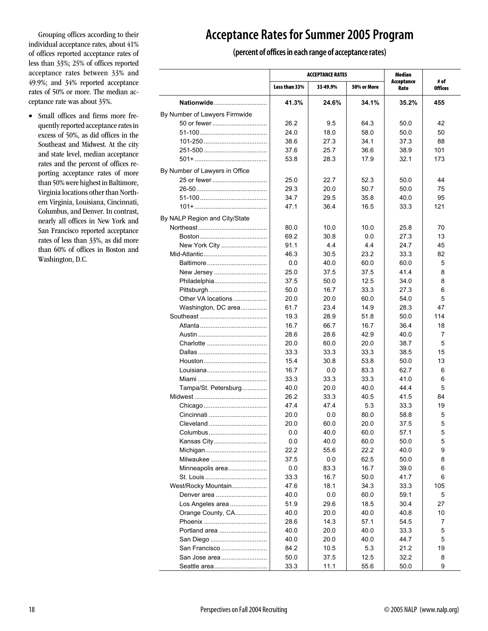Grouping offices according to their individual acceptance rates, about 41% of offices reported acceptance rates of less than 33%; 25% of offices reported acceptance rates between 33% and 49.9%; and 34% reported acceptance rates of 50% or more. The median acceptance rate was about 35%.

• Small offices and firms more frequently reported acceptance rates in excess of 50%, as did offices in the Southeast and Midwest. At the city and state level, median acceptance rates and the percent of offices reporting acceptance rates of more than 50% were highest in Baltimore, Virginia locations other than Northern Virginia, Louisiana, Cincinnati, Columbus, and Denver. In contrast, nearly all offices in New York and San Francisco reported acceptance rates of less than 33%, as did more than 60% of offices in Boston and Washington, D.C.

### **Acceptance Rates for Summer 2005 Program**

#### **(percent of offices in each range of acceptance rates)**

|                                |               | <b>ACCEPTANCE RATES</b> | Median      |                    |                        |
|--------------------------------|---------------|-------------------------|-------------|--------------------|------------------------|
|                                | Less than 33% | 33-49.9%                | 50% or More | Acceptance<br>Rate | # of<br><b>Offices</b> |
| Nationwide                     | 41.3%         | 24.6%                   | 34.1%       | 35.2%              | 455                    |
| By Number of Lawyers Firmwide  |               |                         |             |                    |                        |
| 50 or fewer                    | 26.2          | 95                      | 64.3        | 50.0               | 42                     |
|                                | 24.0          | 18.0                    | 58.0        | 50.0               | 50                     |
|                                | 38.6          | 27.3                    | 34.1        | 37.3               | 88                     |
|                                | 37.6          | 25.7                    | 36.6        | 38.9               | 101                    |
|                                | 53.8          | 28.3                    | 17.9        | 32.1               | 173                    |
| By Number of Lawyers in Office |               |                         |             |                    |                        |
| 25 or fewer                    | 25.0          | 22.7                    | 52.3        | 50.0               | 44                     |
|                                | 29.3          | 20.0                    | 50.7        | 50.0               | 75                     |
|                                | 34.7          | 29.5                    | 35.8        | 40.0               | 95                     |
|                                | 47.1          | 36.4                    | 16.5        | 33.3               | 121                    |
| By NALP Region and City/State  |               |                         |             |                    |                        |
|                                | 80.0          | 10.0                    | 10.0        | 25.8               | 70                     |
|                                | 69.2          | 30.8                    | 0.0         | 27.3               | 13                     |
| New York City                  | 91.1          | 4.4                     | 4.4         | 24.7               | 45                     |
|                                | 46.3          | 30.5                    | 23.2        | 33.3               | 82                     |
| Baltimore                      | 0.0           | 40.0                    | 60.0        | 60.0               | 5                      |
| New Jersey                     | 25.0          | 37.5                    | 37.5        | 41.4               | 8                      |
| Philadelphia                   | 37.5          | 50.0                    | 12.5        | 34.0               | 8                      |
| Pittsburgh                     | 50.0          | 16.7                    | 33.3        | 27.3               | 6                      |
| Other VA locations             | 20.0          | 20.0                    | 60.0        | 54.0               | 5                      |
| Washington, DC area            | 61.7          | 23.4                    | 14.9        | 28.3               | 47                     |
|                                | 19.3          | 28.9                    | 51.8        | 50.0               | 114                    |
|                                | 16.7          | 66.7                    | 16.7        | 36.4               | 18                     |
|                                | 28.6          | 28.6                    | 42.9        | 40.0               | 7                      |
|                                | 20.0          | 60.0                    | 20.0        | 38.7               | 5                      |
|                                | 33.3          | 33.3                    | 33.3        | 38.5               | 15                     |
|                                | 15.4          | 30.8                    | 53.8        | 50.0               | 13                     |
|                                | 16.7          | 0.0                     | 83.3        | 62.7               | 6                      |
|                                | 33.3          | 33.3                    | 33.3        | 41.0               | 6                      |
| Tampa/St. Petersburg           | 40.0          | 20.0                    | 40.0        | 44.4               | 5                      |
|                                | 26.2          | 33.3                    | 40.5        | 41.5               | 84                     |
|                                | 47.4          | 47.4                    | 5.3         | 33.3               | 19                     |
| Cincinnati                     | 20.0          | 0.0                     | 80.0        | 58.8               | 5                      |
| Cleveland                      | 20.0          | 60.0                    | 20.0        | 37.5               | 5                      |
| Columbus                       | 0.0           | 40.0                    | 60.0        | 57.1               | 5                      |
| Kansas City                    | 0.0           | 40.0                    | 60.0        | 50.0               | 5                      |
| Michigan                       | 22.2          | 55.6                    | 22.2        | 40.0               | 9                      |
| Milwaukee                      | 37.5          | 0.0                     | 62.5        | 50.0               | 8                      |
| Minneapolis area               | 0.0           | 83.3                    | 16.7        | 39.0               | 6                      |
|                                | 33.3          | 16.7                    | 50.0        | 41.7               | 6                      |
| West/Rocky Mountain            | 47.6          | 18.1                    | 34.3        | 33.3               | 105                    |
| Denver area                    | 40.0          | 0.0                     | 60.0        | 59.1               | 5                      |
| Los Angeles area               | 51.9          | 29.6                    | 18.5        | 30.4               | 27                     |
| Orange County, CA              | 40.0          | 20.0                    | 40.0        | 40.8               | 10                     |
|                                | 28.6          | 14.3                    | 57.1        | 54.5               | 7                      |
| Portland area                  | 40.0          | 20.0                    | 40.0        | 33.3               | 5                      |
| San Diego                      | 40.0          | 20.0                    | 40.0        | 44.7               | 5                      |
| San Francisco                  | 84.2          | 10.5                    | 5.3         | 21.2               | 19                     |
| San Jose area                  | 50.0          | 37.5                    | 12.5        | 32.2               | 8                      |
| Seattle area                   | 33.3          | 11.1                    | 55.6        | 50.0               | 9                      |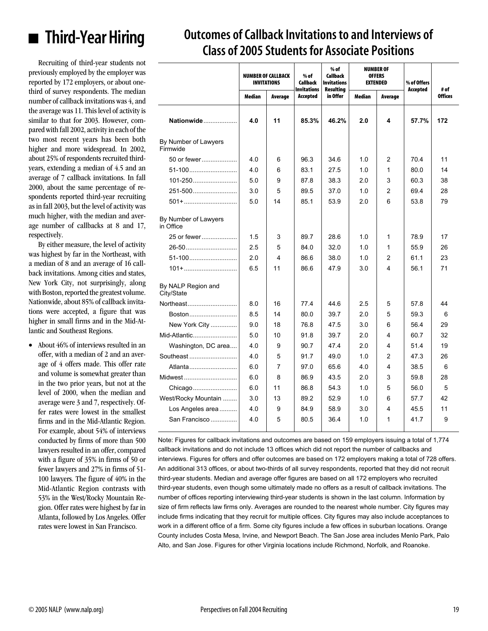

### **Outcomes of Callback Invitations to and Interviews of Class of 2005 Students for Associate Positions**

Recruiting of third-year students not previously employed by the employer was reported by 172 employers, or about onethird of survey respondents. The median number of callback invitations was 4, and the average was 11. This level of activity is similar to that for 2003. However, compared with fall 2002, activity in each of the two most recent years has been both higher and more widespread. In 2002, about 25% of respondents recruited thirdyears, extending a median of 4.5 and an average of 7 callback invitations. In fall 2000, about the same percentage of respondents reported third-year recruiting as in fall 2003, but the level of activity was much higher, with the median and average number of callbacks at 8 and 17, respectively.

By either measure, the level of activity was highest by far in the Northeast, with a median of 8 and an average of 16 callback invitations. Among cities and states, New York City, not surprisingly, along with Boston, reported the greatest volume. Nationwide, about 85% of callback invitations were accepted, a figure that was higher in small firms and in the Mid-Atlantic and Southeast Regions.

• About 46% of interviews resulted in an offer, with a median of 2 and an average of 4 offers made. This offer rate and volume is somewhat greater than in the two prior years, but not at the level of 2000, when the median and average were 3 and 7, respectively. Offer rates were lowest in the smallest firms and in the Mid-Atlantic Region. For example, about 54% of interviews conducted by firms of more than 500 lawyers resulted in an offer, compared with a figure of 35% in firms of 50 or fewer lawyers and 27% in firms of 51- 100 lawyers. The figure of 40% in the Mid-Atlantic Region contrasts with 53% in the West/Rocky Mountain Region. Offer rates were highest by far in Atlanta, followed by Los Angeles. Offer rates were lowest in San Francisco.

|                                   |        | <b>NUMBER OF CALLBACK</b><br><b>INVITATIONS</b> | $%$ of<br>Callback             | $%$ of<br>Callback<br><b>Invitations</b> |        | <b>NUMBER OF</b><br><b>OFFERS</b><br><b>EXTENDED</b> | % of Offers |                        |  |  |
|-----------------------------------|--------|-------------------------------------------------|--------------------------------|------------------------------------------|--------|------------------------------------------------------|-------------|------------------------|--|--|
|                                   | Median | Average                                         | <b>Invitations</b><br>Accepted | Resulting<br>in Offer                    | Median | Average                                              | Accepted    | # of<br><b>Offices</b> |  |  |
| Nationwide                        | 4.0    | 11                                              | 85.3%                          | 46.2%                                    | 2.0    | 4                                                    | 57.7%       | 172                    |  |  |
| By Number of Lawyers<br>Firmwide  |        |                                                 |                                |                                          |        |                                                      |             |                        |  |  |
| 50 or fewer                       | 4.0    | 6                                               | 96.3                           | 34.6                                     | 1.0    | 2                                                    | 70.4        | 11                     |  |  |
| 51-100                            | 4.0    | 6                                               | 83.1                           | 27.5                                     | 1.0    | $\mathbf{1}$                                         | 80.0        | 14                     |  |  |
| $101 - 250$                       | 5.0    | 9                                               | 87.8                           | 38.3                                     | 2.0    | 3                                                    | 60.3        | 38                     |  |  |
| 251-500                           | 3.0    | 5                                               | 89.5                           | 37.0                                     | 1.0    | $\overline{2}$                                       | 69.4        | 28                     |  |  |
| $501 + \dots$                     | 5.0    | 14                                              | 85.1                           | 53.9                                     | 2.0    | 6                                                    | 53.8        | 79                     |  |  |
| By Number of Lawyers<br>in Office |        |                                                 |                                |                                          |        |                                                      |             |                        |  |  |
| 25 or fewer                       | 1.5    | 3                                               | 89.7                           | 28.6                                     | 1.0    | 1                                                    | 78.9        | 17                     |  |  |
| 26-50                             | 2.5    | 5                                               | 84.0                           | 32.0                                     | 1.0    | 1                                                    | 55.9        | 26                     |  |  |
| 51-100                            | 2.0    | 4                                               | 86.6                           | 38.0                                     | 1.0    | $\overline{2}$                                       | 61.1        | 23                     |  |  |
| $101 + \ldots$                    | 6.5    | 11                                              | 86.6                           | 47.9                                     | 3.0    | 4                                                    | 56.1        | 71                     |  |  |
| By NALP Region and<br>City/State  |        |                                                 |                                |                                          |        |                                                      |             |                        |  |  |
| Northeast                         | 8.0    | 16                                              | 77.4                           | 44.6                                     | 2.5    | 5                                                    | 57.8        | 44                     |  |  |
| Boston                            | 8.5    | 14                                              | 80.0                           | 39.7                                     | 2.0    | 5                                                    | 59.3        | 6                      |  |  |
| New York City                     | 9.0    | 18                                              | 76.8                           | 47.5                                     | 3.0    | 6                                                    | 56.4        | 29                     |  |  |
| Mid-Atlantic                      | 5.0    | 10                                              | 91.8                           | 39.7                                     | 2.0    | 4                                                    | 60.7        | 32                     |  |  |
| Washington, DC area               | 4.0    | 9                                               | 90.7                           | 47.4                                     | 2.0    | 4                                                    | 51.4        | 19                     |  |  |
| Southeast                         | 4.0    | 5                                               | 91.7                           | 49.0                                     | 1.0    | $\overline{2}$                                       | 47.3        | 26                     |  |  |
| Atlanta                           | 6.0    | 7                                               | 97.0                           | 65.6                                     | 4.0    | 4                                                    | 38.5        | 6                      |  |  |
| Midwest                           | 6.0    | 8                                               | 86.9                           | 43.5                                     | 2.0    | 3                                                    | 59.8        | 28                     |  |  |
| Chicago                           | 6.0    | 11                                              | 86.8                           | 54.3                                     | 1.0    | 5                                                    | 56.0        | 5                      |  |  |
| West/Rocky Mountain               | 3.0    | 13                                              | 89.2                           | 52.9                                     | 1.0    | 6                                                    | 57.7        | 42                     |  |  |
| Los Angeles area                  | 4.0    | 9                                               | 84.9                           | 58.9                                     | 3.0    | 4                                                    | 45.5        | 11                     |  |  |
| San Francisco                     | 4.0    | 5                                               | 80.5                           | 36.4                                     | 1.0    | $\mathbf{1}$                                         | 41.7        | 9                      |  |  |
|                                   |        |                                                 |                                |                                          |        |                                                      |             |                        |  |  |

Note: Figures for callback invitations and outcomes are based on 159 employers issuing a total of 1,774 callback invitations and do not include 13 offices which did not report the number of callbacks and interviews. Figures for offers and offer outcomes are based on 172 employers making a total of 728 offers. An additional 313 offices, or about two-thirds of all survey respondents, reported that they did not recruit third-year students. Median and average offer figures are based on all 172 employers who recruited third-year students, even though some ultimately made no offers as a result of callback invitations. The number of offices reporting interviewing third-year students is shown in the last column. Information by size of firm reflects law firms only. Averages are rounded to the nearest whole number. City figures may include firms indicating that they recruit for multiple offices. City figures may also include acceptances to work in a different office of a firm. Some city figures include a few offices in suburban locations. Orange County includes Costa Mesa, Irvine, and Newport Beach. The San Jose area includes Menlo Park, Palo Alto, and San Jose. Figures for other Virginia locations include Richmond, Norfolk, and Roanoke.